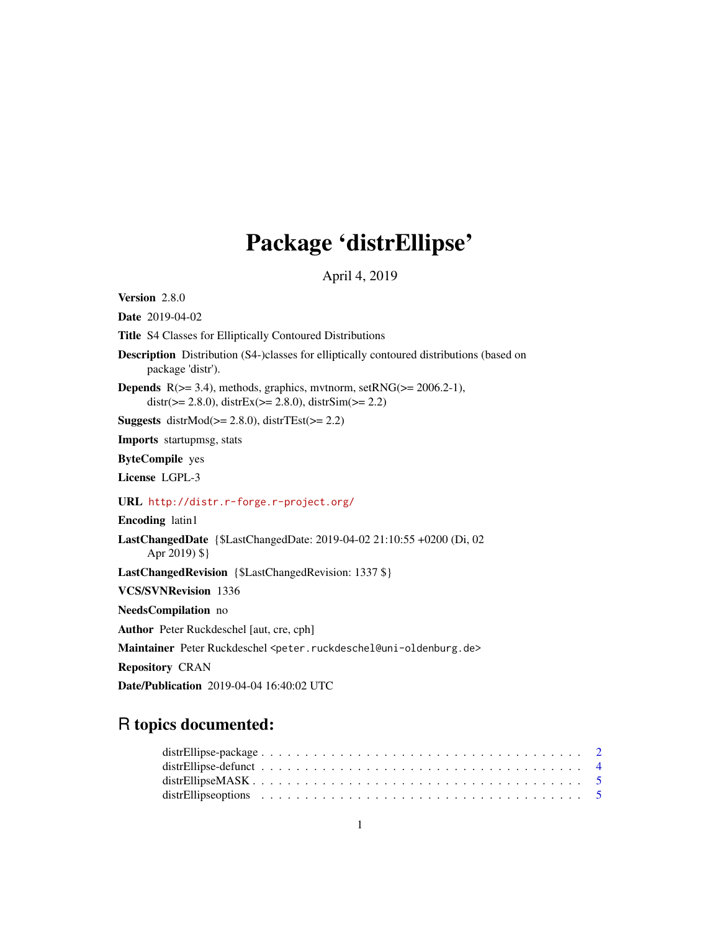# Package 'distrEllipse'

April 4, 2019

<span id="page-0-0"></span>Version 2.8.0

Date 2019-04-02

Title S4 Classes for Elliptically Contoured Distributions

- Description Distribution (S4-)classes for elliptically contoured distributions (based on package 'distr').
- **Depends**  $R$ ( $>=$  3.4), methods, graphics, mythorm, set $RNG$ ( $>=$  2006.2-1),  $distr(>= 2.8.0)$ ,  $distrEx(>= 2.8.0)$ ,  $distrSim(>= 2.2)$

Suggests distr $Mod(\geq 2.8.0)$ , distr $TEst(\geq 2.2)$ 

Imports startupmsg, stats

ByteCompile yes

License LGPL-3

URL <http://distr.r-forge.r-project.org/>

Encoding latin1

LastChangedDate {\$LastChangedDate: 2019-04-02 21:10:55 +0200 (Di, 02 Apr 2019) \$}

LastChangedRevision {\$LastChangedRevision: 1337 \$}

VCS/SVNRevision 1336

NeedsCompilation no

Author Peter Ruckdeschel [aut, cre, cph]

Maintainer Peter Ruckdeschel <peter.ruckdeschel@uni-oldenburg.de>

Repository CRAN

Date/Publication 2019-04-04 16:40:02 UTC

# R topics documented: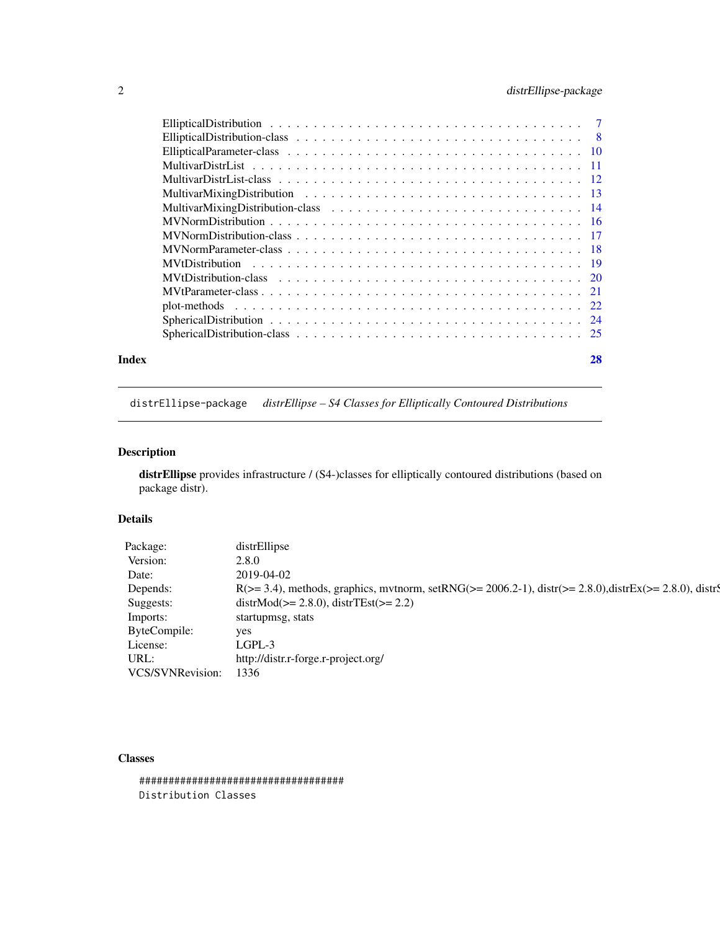# <span id="page-1-0"></span>2 distrEllipse-package

| Index | 28 |
|-------|----|
|       |    |
|       |    |
|       |    |
|       |    |
|       |    |
|       |    |
|       |    |
|       |    |
|       |    |
|       |    |
|       |    |
|       |    |
|       |    |
|       |    |
|       |    |
|       |    |

distrEllipse-package *distrEllipse – S4 Classes for Elliptically Contoured Distributions*

# Description

distrEllipse provides infrastructure / (S4-)classes for elliptically contoured distributions (based on package distr).

# Details

| Package:         | distrEllipse                                                                                                               |
|------------------|----------------------------------------------------------------------------------------------------------------------------|
| Version:         | 2.8.0                                                                                                                      |
| Date:            | 2019-04-02                                                                                                                 |
| Depends:         | $R(>= 3.4)$ , methods, graphics, mythorm, set $RNG(>= 2006.2-1)$ , distr $(>= 2.8.0)$ , distr $Ex(>= 2.8.0)$ , distr $\xi$ |
| Suggests:        | $distrMod(\geq 2.8.0), distrTest(\geq 2.2)$                                                                                |
| Imports:         | startupmsg, stats                                                                                                          |
| ByteCompile:     | yes                                                                                                                        |
| License:         | LGPL-3                                                                                                                     |
| URL:             | http://distr.r-forge.r-project.org/                                                                                        |
| VCS/SVNRevision: | 1336                                                                                                                       |
|                  |                                                                                                                            |

# Classes

################################### Distribution Classes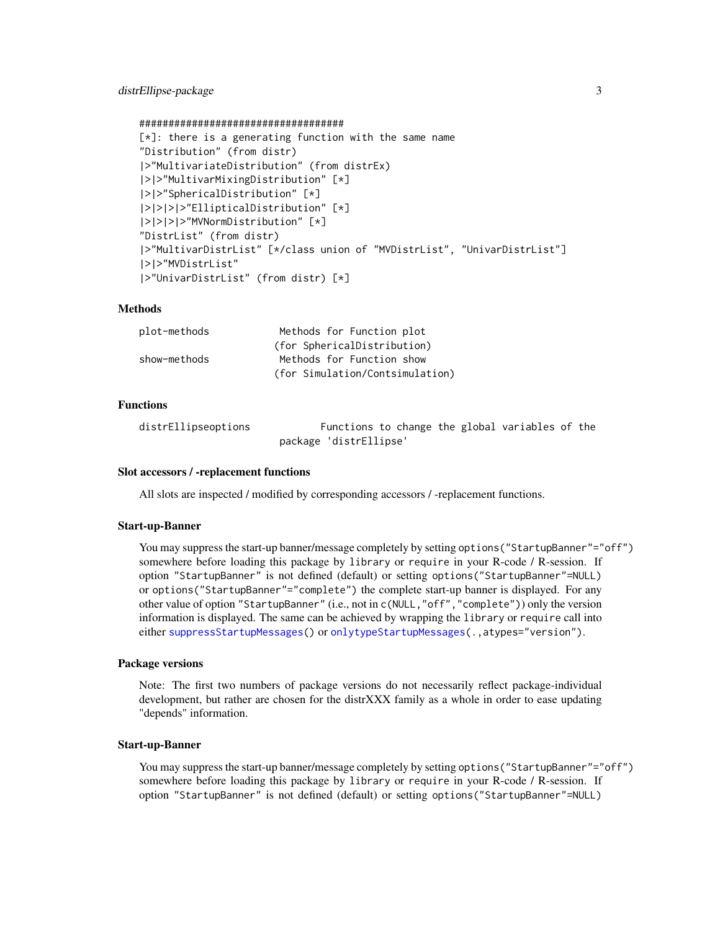```
###################################
[\star]: there is a generating function with the same name
"Distribution" (from distr)
|>"MultivariateDistribution" (from distrEx)
|>|>"MultivarMixingDistribution" [*]
|>|>"SphericalDistribution" [*]
|>|>|>|>"EllipticalDistribution" [*]
|>|>|>|>"MVNormDistribution" [*]
"DistrList" (from distr)
|>"MultivarDistrList" [*/class union of "MVDistrList", "UnivarDistrList"]
|>|>"MVDistrList"
|>"UnivarDistrList" (from distr) [*]
```
#### **Methods**

| plot-methods | Methods for Function plot       |
|--------------|---------------------------------|
|              | (for SphericalDistribution)     |
| show-methods | Methods for Function show       |
|              | (for Simulation/Contsimulation) |

# Functions

distrEllipseoptions Functions to change the global variables of the package 'distrEllipse'

#### Slot accessors / -replacement functions

All slots are inspected / modified by corresponding accessors / -replacement functions.

#### Start-up-Banner

You may suppress the start-up banner/message completely by setting options("StartupBanner"="off") somewhere before loading this package by library or require in your R-code / R-session. If option "StartupBanner" is not defined (default) or setting options("StartupBanner"=NULL) or options("StartupBanner"="complete") the complete start-up banner is displayed. For any other value of option "StartupBanner" (i.e., not in c(NULL,"off","complete")) only the version information is displayed. The same can be achieved by wrapping the library or require call into either [suppressStartupMessages\(](#page-0-0)) or [onlytypeStartupMessages\(](#page-0-0).,atypes="version").

#### Package versions

Note: The first two numbers of package versions do not necessarily reflect package-individual development, but rather are chosen for the distrXXX family as a whole in order to ease updating "depends" information.

#### Start-up-Banner

You may suppress the start-up banner/message completely by setting options("StartupBanner"="off") somewhere before loading this package by library or require in your R-code / R-session. If option "StartupBanner" is not defined (default) or setting options("StartupBanner"=NULL)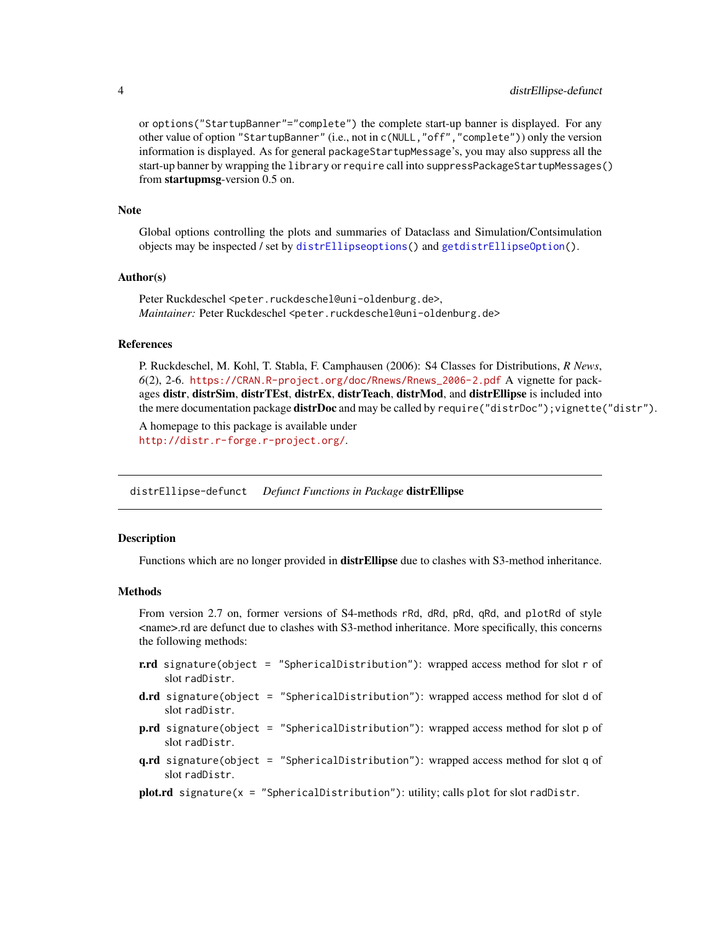or options("StartupBanner"="complete") the complete start-up banner is displayed. For any other value of option "StartupBanner" (i.e., not in c(NULL,"off","complete")) only the version information is displayed. As for general packageStartupMessage's, you may also suppress all the start-up banner by wrapping the library or require call into suppressPackageStartupMessages() from startupmsg-version 0.5 on.

#### Note

Global options controlling the plots and summaries of Dataclass and Simulation/Contsimulation objects may be inspected / set by [distrEllipseoptions\(](#page-4-1)) and [getdistrEllipseOption\(](#page-4-2)).

#### Author(s)

Peter Ruckdeschel <peter.ruckdeschel@uni-oldenburg.de>, *Maintainer:* Peter Ruckdeschel <peter.ruckdeschel@uni-oldenburg.de>

#### References

P. Ruckdeschel, M. Kohl, T. Stabla, F. Camphausen (2006): S4 Classes for Distributions, *R News*, *6*(2), 2-6. [https://CRAN.R-project.org/doc/Rnews/Rnews\\_2006-2.pdf](https://CRAN.R-project.org/doc/Rnews/Rnews_2006-2.pdf) A vignette for packages distr, distrSim, distrTEst, distrEx, distrTeach, distrMod, and distrEllipse is included into the mere documentation package **distrDoc** and may be called by require("distrDoc"); vignette("distr").

A homepage to this package is available under <http://distr.r-forge.r-project.org/>.

distrEllipse-defunct *Defunct Functions in Package* distrEllipse

#### **Description**

Functions which are no longer provided in **distrEllipse** due to clashes with S3-method inheritance.

#### Methods

From version 2.7 on, former versions of S4-methods rRd, dRd, pRd, qRd, and plotRd of style <name>.rd are defunct due to clashes with S3-method inheritance. More specifically, this concerns the following methods:

- r.rd signature(object = "SphericalDistribution"): wrapped access method for slot r of slot radDistr.
- d.rd signature(object = "SphericalDistribution"): wrapped access method for slot d of slot radDistr.
- p.rd signature(object = "SphericalDistribution"): wrapped access method for slot p of slot radDistr.
- q.rd signature(object = "SphericalDistribution"): wrapped access method for slot q of slot radDistr.
- plot.rd signature( $x =$  "SphericalDistribution"): utility; calls plot for slot radDistr.

<span id="page-3-0"></span>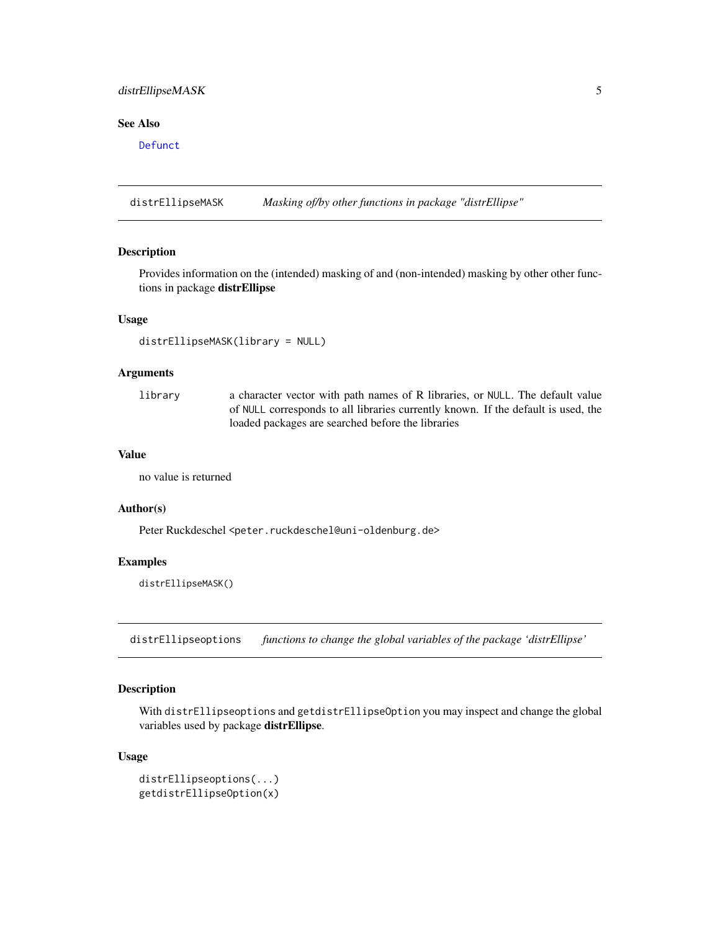# <span id="page-4-0"></span>distrEllipseMASK 5

# See Also

[Defunct](#page-0-0)

distrEllipseMASK *Masking of/by other functions in package "distrEllipse"*

# Description

Provides information on the (intended) masking of and (non-intended) masking by other other functions in package distrEllipse

#### Usage

distrEllipseMASK(library = NULL)

#### Arguments

library a character vector with path names of R libraries, or NULL. The default value of NULL corresponds to all libraries currently known. If the default is used, the loaded packages are searched before the libraries

# Value

no value is returned

#### Author(s)

Peter Ruckdeschel <peter.ruckdeschel@uni-oldenburg.de>

#### Examples

distrEllipseMASK()

<span id="page-4-1"></span>distrEllipseoptions *functions to change the global variables of the package 'distrEllipse'*

#### <span id="page-4-2"></span>Description

With distrEllipseoptions and getdistrEllipseOption you may inspect and change the global variables used by package distrEllipse.

#### Usage

```
distrEllipseoptions(...)
getdistrEllipseOption(x)
```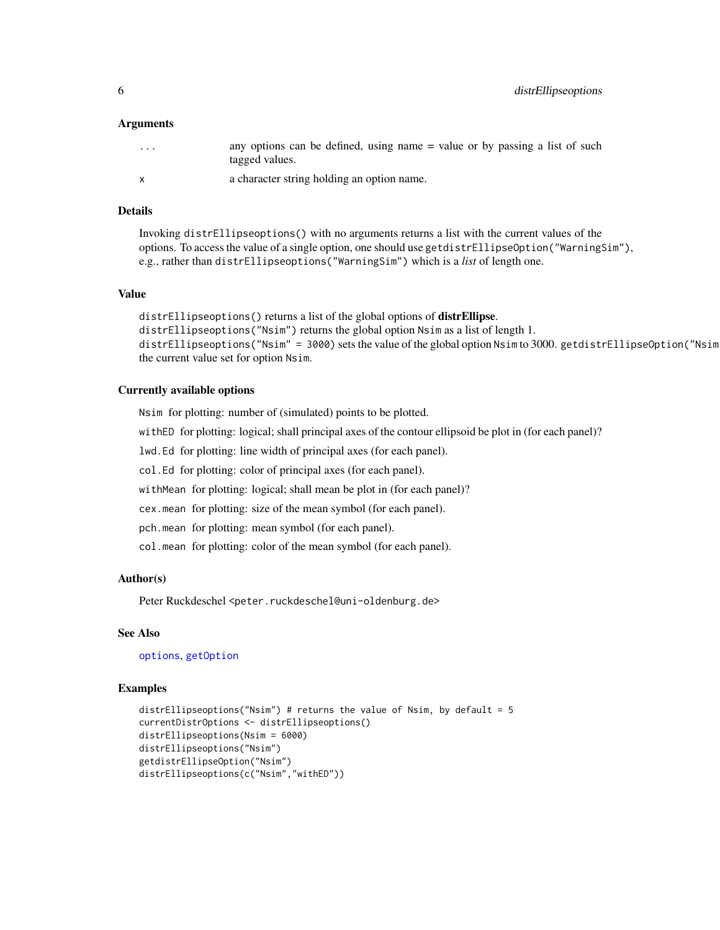#### <span id="page-5-0"></span>Arguments

| $\cdot$ $\cdot$ $\cdot$ | any options can be defined, using name = value or by passing a list of such<br>tagged values. |
|-------------------------|-----------------------------------------------------------------------------------------------|
| $\mathsf{X}$            | a character string holding an option name.                                                    |

# Details

Invoking distrEllipseoptions() with no arguments returns a list with the current values of the options. To access the value of a single option, one should use getdistrEllipseOption("WarningSim"), e.g., rather than distrEllipseoptions("WarningSim") which is a *list* of length one.

#### Value

```
distrEllipseoptions() returns a list of the global options of distrEllipse.
distrEllipseoptions("Nsim") returns the global option Nsim as a list of length 1.
distrEllipseoptions("Nsim" = 3000) sets the value of the global option Nsim to 3000. getdistrEllipseOption("Nsim
the current value set for option Nsim.
```
#### Currently available options

Nsim for plotting: number of (simulated) points to be plotted.

withED for plotting: logical; shall principal axes of the contour ellipsoid be plot in (for each panel)?

lwd.Ed for plotting: line width of principal axes (for each panel).

col.Ed for plotting: color of principal axes (for each panel).

withMean for plotting: logical; shall mean be plot in (for each panel)?

cex.mean for plotting: size of the mean symbol (for each panel).

pch.mean for plotting: mean symbol (for each panel).

col.mean for plotting: color of the mean symbol (for each panel).

#### Author(s)

Peter Ruckdeschel <peter.ruckdeschel@uni-oldenburg.de>

# See Also

[options](#page-0-0), [getOption](#page-0-0)

#### Examples

```
distrEllipseoptions("Nsim") # returns the value of Nsim, by default = 5
currentDistrOptions <- distrEllipseoptions()
distrEllipseoptions(Nsim = 6000)
distrEllipseoptions("Nsim")
getdistrEllipseOption("Nsim")
distrEllipseoptions(c("Nsim","withED"))
```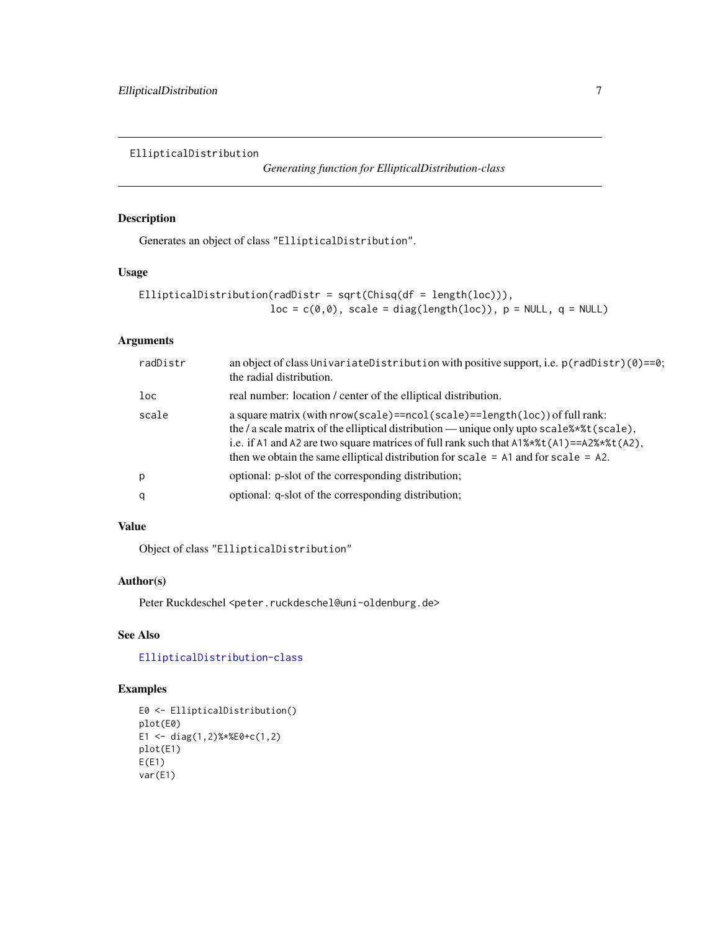<span id="page-6-1"></span><span id="page-6-0"></span>EllipticalDistribution

*Generating function for EllipticalDistribution-class*

# Description

Generates an object of class "EllipticalDistribution".

# Usage

```
EllipticalDistribution(radDistr = sqrt(Chisq(df = length(loc))),
                      loc = c(0,0), scale = diag(length(loc)), p = NULL, q = NULL
```
# Arguments

| radDistr | an object of class UnivariateDistribution with positive support, i.e. $p(radDist)$ (0)==0;<br>the radial distribution.                                                                                                                                                                                                                                                                 |
|----------|----------------------------------------------------------------------------------------------------------------------------------------------------------------------------------------------------------------------------------------------------------------------------------------------------------------------------------------------------------------------------------------|
| loc      | real number: location / center of the elliptical distribution.                                                                                                                                                                                                                                                                                                                         |
| scale    | a square matrix (with nrow(scale)==ncol(scale)==length(loc)) of full rank:<br>the / a scale matrix of the elliptical distribution — unique only upto scale $\ast\ast\ast$ t (scale),<br>i.e. if A1 and A2 are two square matrices of full rank such that $A1\%*\t{t(A1)} = A2\%*\t{t(A2)}$ ,<br>then we obtain the same elliptical distribution for scale $=$ A1 and for scale $=$ A2. |
| p        | optional: p-slot of the corresponding distribution;                                                                                                                                                                                                                                                                                                                                    |
| q        | optional: q-slot of the corresponding distribution;                                                                                                                                                                                                                                                                                                                                    |

# Value

Object of class "EllipticalDistribution"

# Author(s)

Peter Ruckdeschel <peter.ruckdeschel@uni-oldenburg.de>

# See Also

# [EllipticalDistribution-class](#page-7-1)

# Examples

```
E0 <- EllipticalDistribution()
plot(E0)
E1 <- diag(1,2)%*%E0+c(1,2)
plot(E1)
E(E1)
var(E1)
```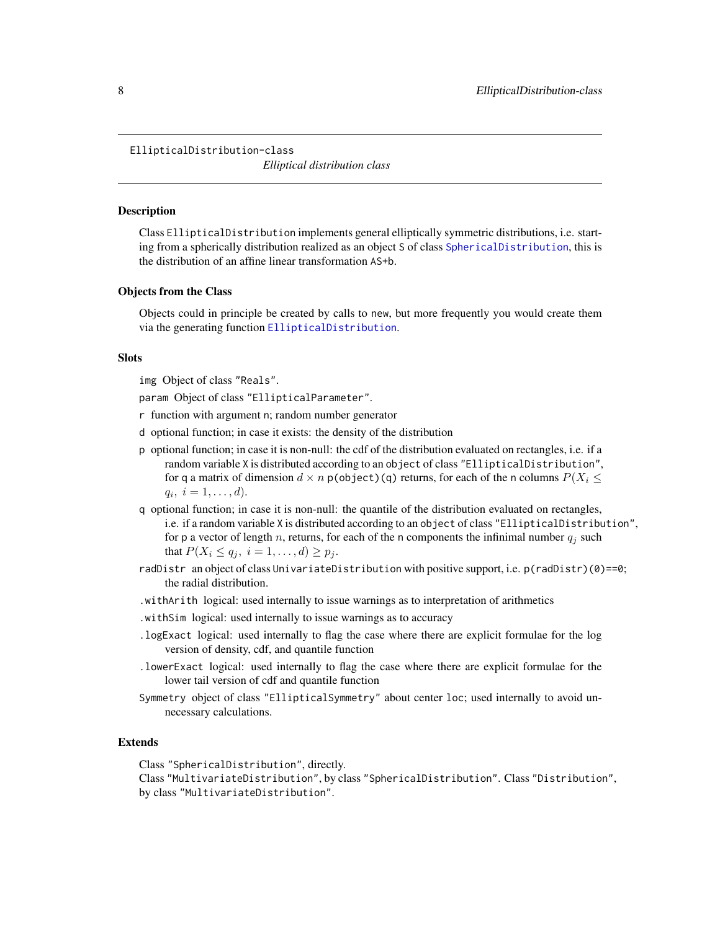```
EllipticalDistribution-class
```
*Elliptical distribution class*

#### **Description**

Class EllipticalDistribution implements general elliptically symmetric distributions, i.e. starting from a spherically distribution realized as an object S of class [SphericalDistribution](#page-23-1), this is the distribution of an affine linear transformation AS+b.

#### Objects from the Class

Objects could in principle be created by calls to new, but more frequently you would create them via the generating function [EllipticalDistribution](#page-6-1).

#### **Slots**

img Object of class "Reals".

param Object of class "EllipticalParameter".

- r function with argument n; random number generator
- d optional function; in case it exists: the density of the distribution
- p optional function; in case it is non-null: the cdf of the distribution evaluated on rectangles, i.e. if a random variable X is distributed according to an object of class "EllipticalDistribution", for q a matrix of dimension  $d \times n$  p(object)(q) returns, for each of the n columns  $P(X_i \leq$  $q_i, i = 1, \ldots, d$ .
- q optional function; in case it is non-null: the quantile of the distribution evaluated on rectangles, i.e. if a random variable X is distributed according to an object of class "EllipticalDistribution", for p a vector of length n, returns, for each of the n components the infinimal number  $q_i$  such that  $P(X_i \le q_j, i = 1, ..., d) \ge p_j$ .
- radDistr an object of class UnivariateDistribution with positive support, i.e. p(radDistr)(0)==0; the radial distribution.
- .withArith logical: used internally to issue warnings as to interpretation of arithmetics
- .withSim logical: used internally to issue warnings as to accuracy
- .logExact logical: used internally to flag the case where there are explicit formulae for the log version of density, cdf, and quantile function
- .lowerExact logical: used internally to flag the case where there are explicit formulae for the lower tail version of cdf and quantile function
- Symmetry object of class "EllipticalSymmetry" about center loc; used internally to avoid unnecessary calculations.

# Extends

Class "SphericalDistribution", directly.

Class "MultivariateDistribution", by class "SphericalDistribution". Class "Distribution", by class "MultivariateDistribution".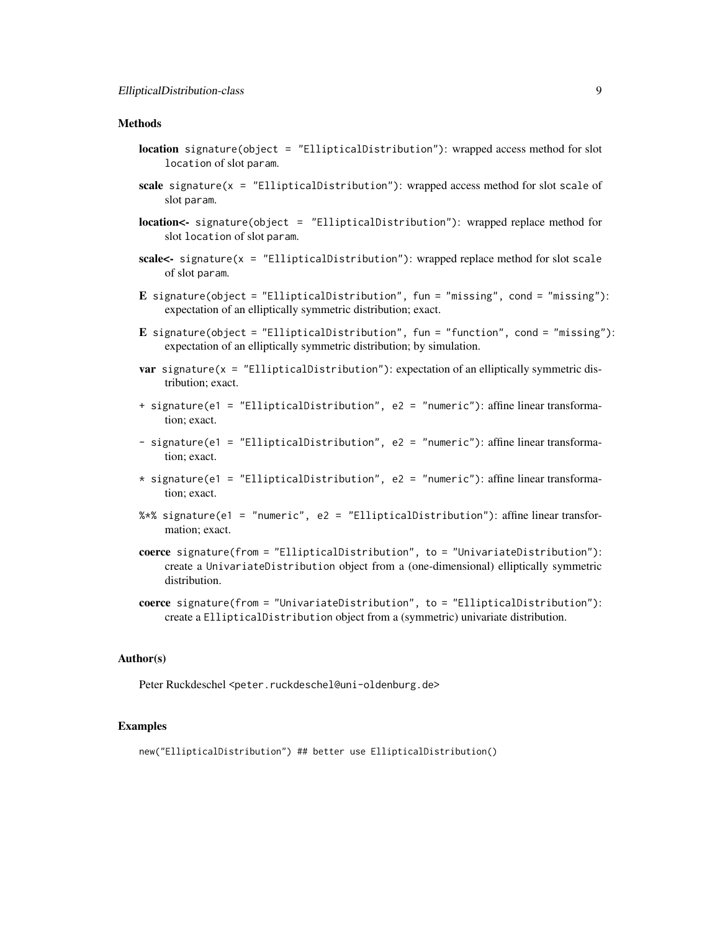# **Methods**

- location signature(object = "EllipticalDistribution"): wrapped access method for slot location of slot param.
- scale signature( $x =$  "EllipticalDistribution"): wrapped access method for slot scale of slot param.
- location<- signature(object = "EllipticalDistribution"): wrapped replace method for slot location of slot param.
- scale<- signature( $x =$  "EllipticalDistribution"): wrapped replace method for slot scale of slot param.
- E signature(object = "EllipticalDistribution", fun = "missing", cond = "missing"): expectation of an elliptically symmetric distribution; exact.
- E signature(object = "EllipticalDistribution", fun = "function", cond = "missing"): expectation of an elliptically symmetric distribution; by simulation.
- **var** signature( $x =$  "EllipticalDistribution"): expectation of an elliptically symmetric distribution; exact.
- + signature(e1 = "EllipticalDistribution", e2 = "numeric"): affine linear transformation; exact.
- signature(e1 = "EllipticalDistribution", e2 = "numeric"): affine linear transformation; exact.
- \* signature(e1 = "EllipticalDistribution", e2 = "numeric"): affine linear transformation; exact.
- %\*% signature(e1 = "numeric", e2 = "EllipticalDistribution"): affine linear transformation; exact.
- coerce signature(from = "EllipticalDistribution", to = "UnivariateDistribution"): create a UnivariateDistribution object from a (one-dimensional) elliptically symmetric distribution.
- coerce signature(from = "UnivariateDistribution", to = "EllipticalDistribution"): create a EllipticalDistribution object from a (symmetric) univariate distribution.

# Author(s)

Peter Ruckdeschel <peter.ruckdeschel@uni-oldenburg.de>

#### Examples

new("EllipticalDistribution") ## better use EllipticalDistribution()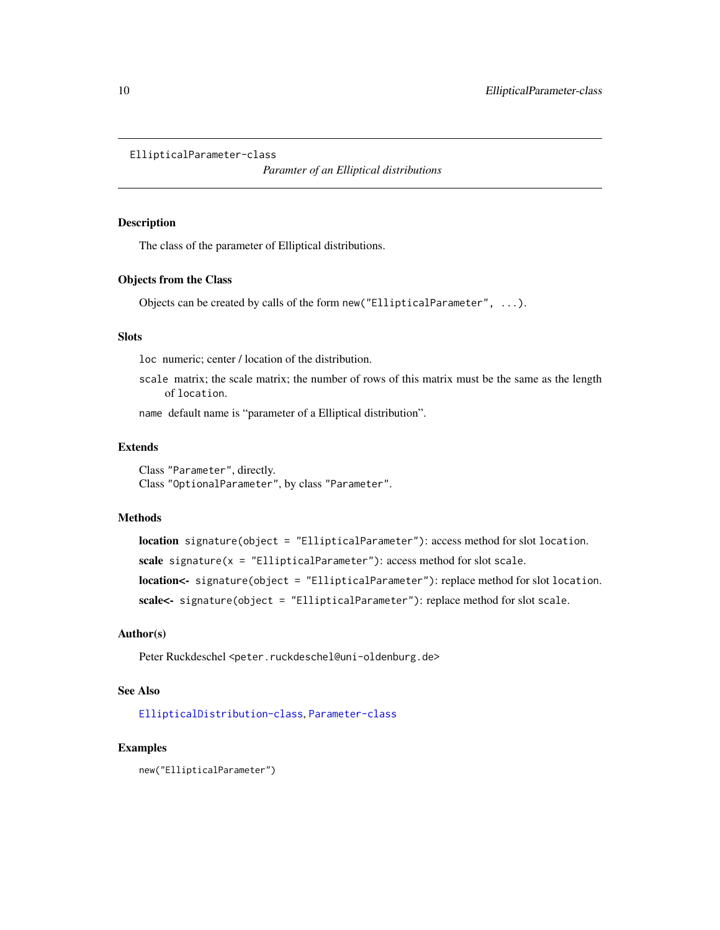```
EllipticalParameter-class
```
*Paramter of an Elliptical distributions*

#### Description

The class of the parameter of Elliptical distributions.

#### Objects from the Class

Objects can be created by calls of the form new("EllipticalParameter", ...).

# Slots

loc numeric; center / location of the distribution.

scale matrix; the scale matrix; the number of rows of this matrix must be the same as the length of location.

name default name is "parameter of a Elliptical distribution".

# Extends

Class "Parameter", directly. Class "OptionalParameter", by class "Parameter".

# Methods

location signature(object = "EllipticalParameter"): access method for slot location. scale signature( $x =$  "EllipticalParameter"): access method for slot scale. location<- signature(object = "EllipticalParameter"): replace method for slot location. scale<- signature(object = "EllipticalParameter"): replace method for slot scale.

# Author(s)

Peter Ruckdeschel <peter.ruckdeschel@uni-oldenburg.de>

# See Also

[EllipticalDistribution-class](#page-7-1), [Parameter-class](#page-0-0)

#### Examples

new("EllipticalParameter")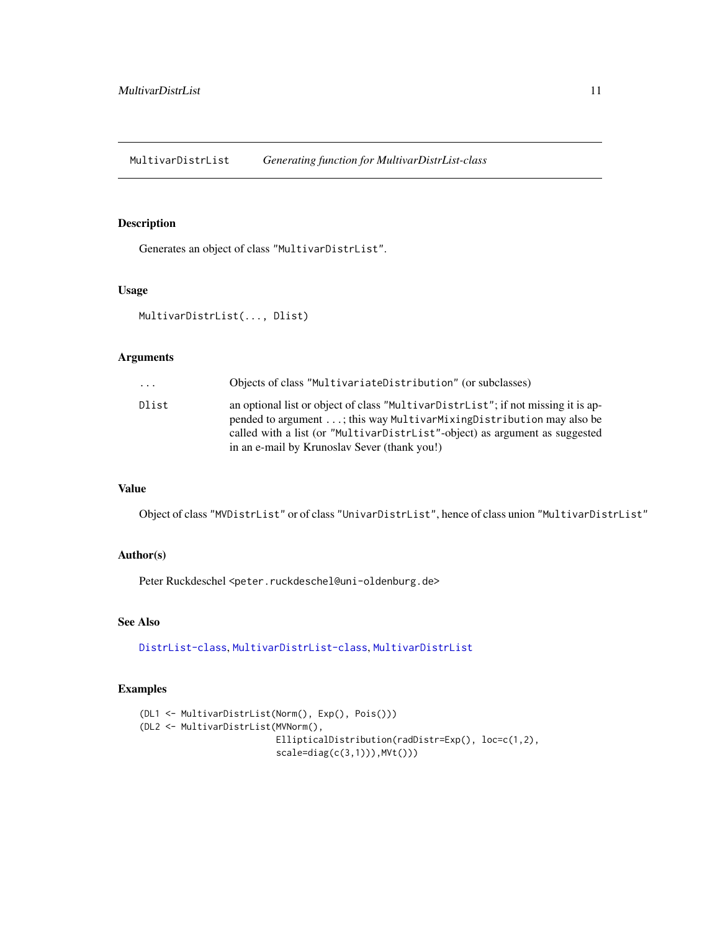<span id="page-10-1"></span><span id="page-10-0"></span>MultivarDistrList *Generating function for MultivarDistrList-class*

# Description

Generates an object of class "MultivarDistrList".

# Usage

```
MultivarDistrList(..., Dlist)
```
# Arguments

| $\cdot$ $\cdot$ $\cdot$ | Objects of class "MultivariateDistribution" (or subclasses)                                                                                                                                                                                                                              |
|-------------------------|------------------------------------------------------------------------------------------------------------------------------------------------------------------------------------------------------------------------------------------------------------------------------------------|
| Dlist                   | an optional list or object of class "MultivarDistrList"; if not missing it is ap-<br>pended to argument ; this way MultivarMixingDistribution may also be<br>called with a list (or "MultivarDistrList"-object) as argument as suggested<br>in an e-mail by Krunoslav Sever (thank you!) |
|                         |                                                                                                                                                                                                                                                                                          |

# Value

Object of class "MVDistrList" or of class "UnivarDistrList", hence of class union "MultivarDistrList"

# Author(s)

Peter Ruckdeschel <peter.ruckdeschel@uni-oldenburg.de>

# See Also

[DistrList-class](#page-0-0), [MultivarDistrList-class](#page-11-1), [MultivarDistrList](#page-10-1)

# Examples

```
(DL1 <- MultivarDistrList(Norm(), Exp(), Pois()))
(DL2 <- MultivarDistrList(MVNorm(),
                         EllipticalDistribution(radDistr=Exp(), loc=c(1,2),
                         scale=diag(c(3,1)), MVt())
```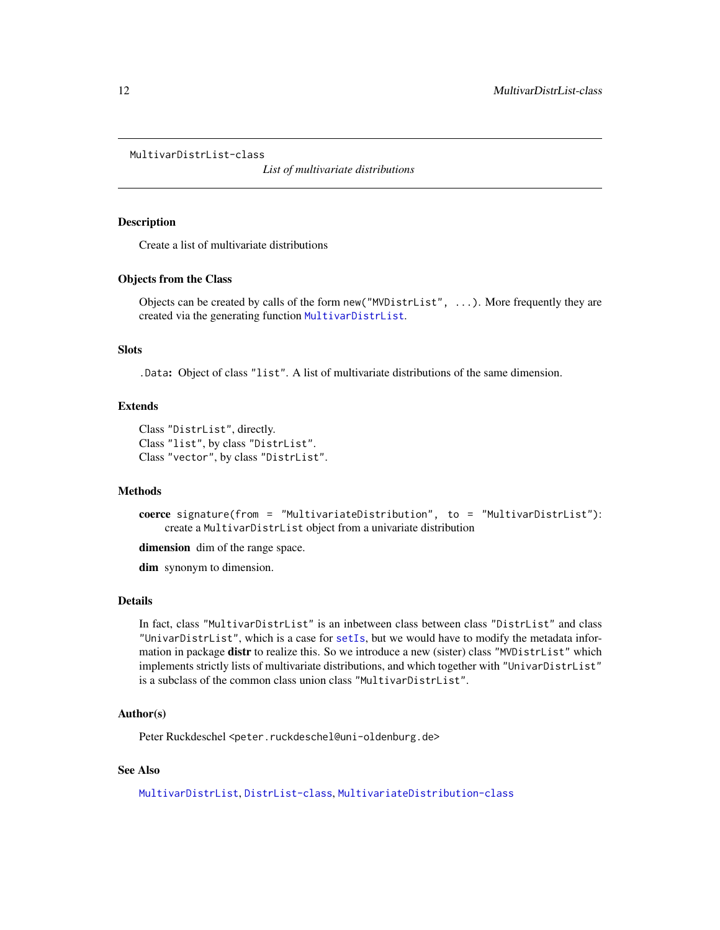<span id="page-11-1"></span><span id="page-11-0"></span>MultivarDistrList-class

*List of multivariate distributions*

#### **Description**

Create a list of multivariate distributions

#### Objects from the Class

Objects can be created by calls of the form new("MVDistrList", ...). More frequently they are created via the generating function [MultivarDistrList](#page-10-1).

# **Slots**

.Data: Object of class "list". A list of multivariate distributions of the same dimension.

### Extends

```
Class "DistrList", directly.
Class "list", by class "DistrList".
Class "vector", by class "DistrList".
```
# Methods

```
coerce signature(from = "MultivariateDistribution", to = "MultivarDistrList"):
    create a MultivarDistrList object from a univariate distribution
```
dimension dim of the range space.

dim synonym to dimension.

# Details

In fact, class "MultivarDistrList" is an inbetween class between class "DistrList" and class "UnivarDistrList", which is a case for [setIs](#page-0-0), but we would have to modify the metadata information in package distr to realize this. So we introduce a new (sister) class "MVDistrList" which implements strictly lists of multivariate distributions, and which together with "UnivarDistrList" is a subclass of the common class union class "MultivarDistrList".

#### Author(s)

Peter Ruckdeschel <peter.ruckdeschel@uni-oldenburg.de>

# See Also

[MultivarDistrList](#page-10-1), [DistrList-class](#page-0-0), [MultivariateDistribution-class](#page-0-0)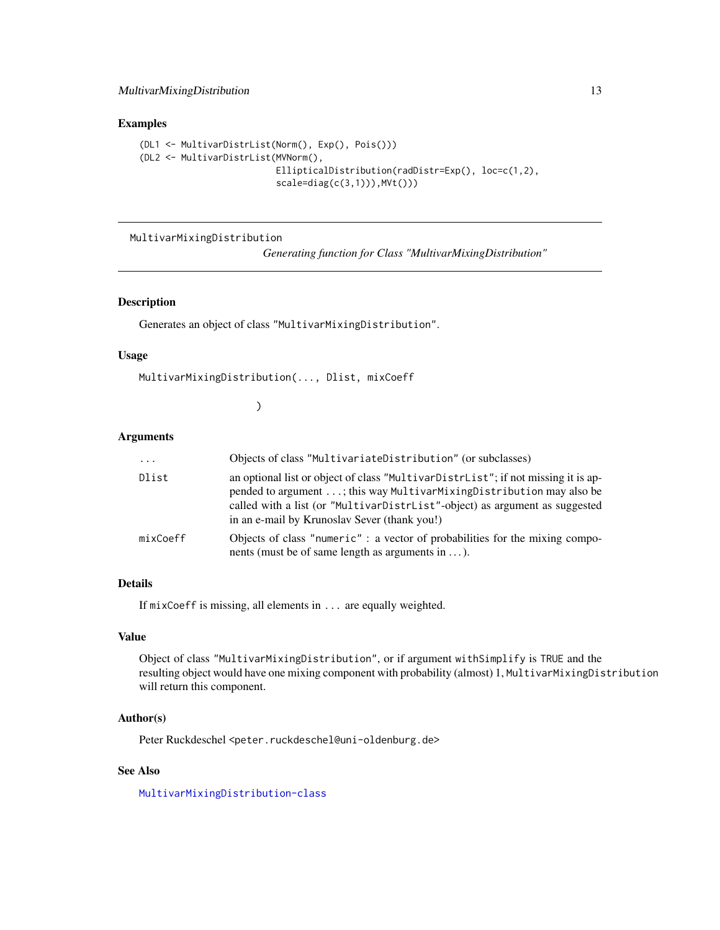# <span id="page-12-0"></span>MultivarMixingDistribution 13

#### Examples

```
(DL1 <- MultivarDistrList(Norm(), Exp(), Pois()))
(DL2 <- MultivarDistrList(MVNorm(),
                          EllipticalDistribution(radDistr=Exp(), loc=c(1,2),
                          scale=diag(c(3,1))),MVt()))
```
<span id="page-12-1"></span>MultivarMixingDistribution

*Generating function for Class "MultivarMixingDistribution"*

# Description

Generates an object of class "MultivarMixingDistribution".

# Usage

```
MultivarMixingDistribution(..., Dlist, mixCoeff
```
)

#### Arguments

| $\cdots$ | Objects of class "MultivariateDistribution" (or subclasses)                                                                                                                                                                                                                              |
|----------|------------------------------------------------------------------------------------------------------------------------------------------------------------------------------------------------------------------------------------------------------------------------------------------|
| Dlist    | an optional list or object of class "MultivarDistrList"; if not missing it is ap-<br>pended to argument ; this way MultivarMixingDistribution may also be<br>called with a list (or "MultivarDistrList"-object) as argument as suggested<br>in an e-mail by Krunoslav Sever (thank you!) |
| mixCoeff | Objects of class "numeric" : a vector of probabilities for the mixing compo-<br>nents (must be of same length as arguments in $\dots$ ).                                                                                                                                                 |

# Details

If mixCoeff is missing, all elements in ... are equally weighted.

# Value

Object of class "MultivarMixingDistribution", or if argument withSimplify is TRUE and the resulting object would have one mixing component with probability (almost) 1, MultivarMixingDistribution will return this component.

# Author(s)

Peter Ruckdeschel <peter.ruckdeschel@uni-oldenburg.de>

# See Also

[MultivarMixingDistribution-class](#page-13-1)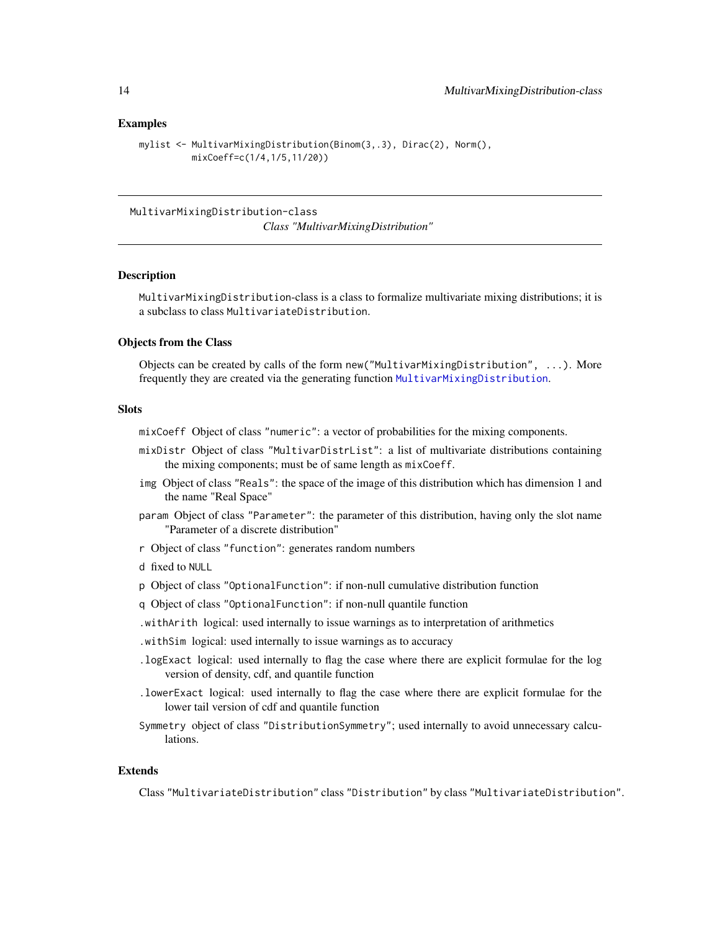#### <span id="page-13-0"></span>Examples

```
mylist <- MultivarMixingDistribution(Binom(3,.3), Dirac(2), Norm(),
         mixCoeff=c(1/4,1/5,11/20))
```
<span id="page-13-1"></span>MultivarMixingDistribution-class

*Class "MultivarMixingDistribution"*

#### Description

MultivarMixingDistribution-class is a class to formalize multivariate mixing distributions; it is a subclass to class MultivariateDistribution.

# Objects from the Class

Objects can be created by calls of the form new("MultivarMixingDistribution", ...). More frequently they are created via the generating function [MultivarMixingDistribution](#page-12-1).

#### **Slots**

mixCoeff Object of class "numeric": a vector of probabilities for the mixing components.

- mixDistr Object of class "MultivarDistrList": a list of multivariate distributions containing the mixing components; must be of same length as mixCoeff.
- img Object of class "Reals": the space of the image of this distribution which has dimension 1 and the name "Real Space"
- param Object of class "Parameter": the parameter of this distribution, having only the slot name "Parameter of a discrete distribution"
- r Object of class "function": generates random numbers
- d fixed to NULL
- p Object of class "OptionalFunction": if non-null cumulative distribution function
- q Object of class "OptionalFunction": if non-null quantile function
- .withArith logical: used internally to issue warnings as to interpretation of arithmetics
- .withSim logical: used internally to issue warnings as to accuracy
- .logExact logical: used internally to flag the case where there are explicit formulae for the log version of density, cdf, and quantile function
- .lowerExact logical: used internally to flag the case where there are explicit formulae for the lower tail version of cdf and quantile function
- Symmetry object of class "DistributionSymmetry"; used internally to avoid unnecessary calculations.

# Extends

Class "MultivariateDistribution" class "Distribution" by class "MultivariateDistribution".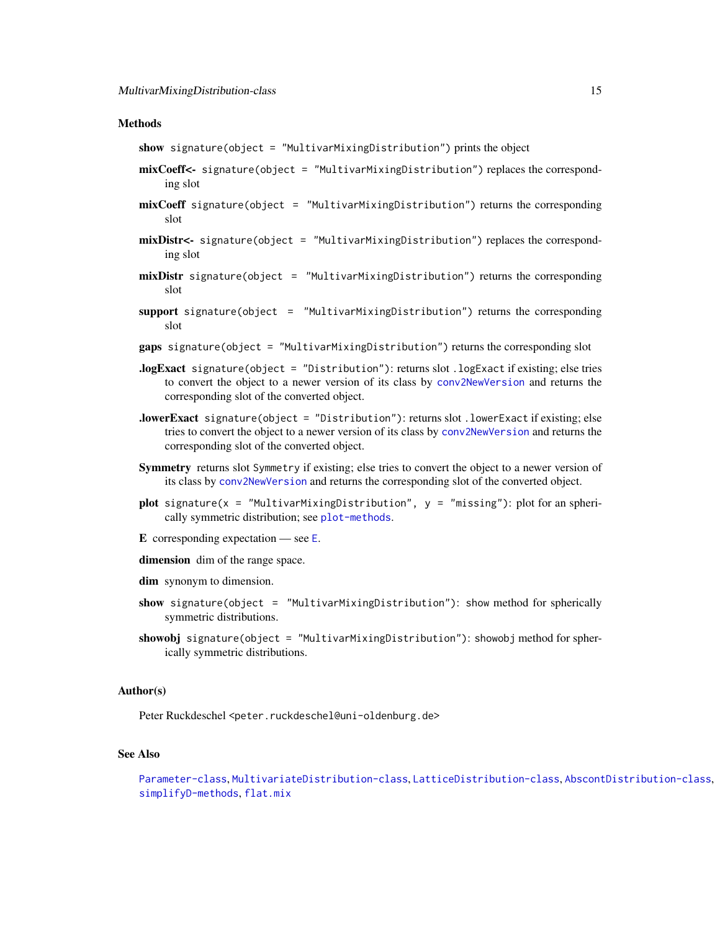#### <span id="page-14-0"></span>**Methods**

show signature(object = "MultivarMixingDistribution") prints the object

- mixCoeff<- signature(object = "MultivarMixingDistribution") replaces the corresponding slot
- mixCoeff signature(object = "MultivarMixingDistribution") returns the corresponding slot
- mixDistr<- signature(object = "MultivarMixingDistribution") replaces the corresponding slot
- mixDistr signature(object = "MultivarMixingDistribution") returns the corresponding slot
- support signature(object = "MultivarMixingDistribution") returns the corresponding slot
- gaps signature(object = "MultivarMixingDistribution") returns the corresponding slot
- .logExact signature(object = "Distribution"): returns slot .logExact if existing; else tries to convert the object to a newer version of its class by [conv2NewVersion](#page-0-0) and returns the corresponding slot of the converted object.
- .lowerExact signature(object = "Distribution"): returns slot .lowerExact if existing; else tries to convert the object to a newer version of its class by [conv2NewVersion](#page-0-0) and returns the corresponding slot of the converted object.
- Symmetry returns slot Symmetry if existing; else tries to convert the object to a newer version of its class by [conv2NewVersion](#page-0-0) and returns the corresponding slot of the converted object.
- plot signature( $x =$  "MultivarMixingDistribution",  $y =$  "missing"): plot for an spherically symmetric distribution; see [plot-methods](#page-21-1).
- [E](#page-0-0) corresponding expectation see  $E$ .
- dimension dim of the range space.
- dim synonym to dimension.
- show signature(object = "MultivarMixingDistribution"): show method for spherically symmetric distributions.
- showobj signature(object = "MultivarMixingDistribution"): showobj method for spherically symmetric distributions.

#### Author(s)

Peter Ruckdeschel <peter.ruckdeschel@uni-oldenburg.de>

# See Also

```
Parameter-class, MultivariateDistribution-class, LatticeDistribution-class, AbscontDistribution-class,
simplifyD-methods, flat.mix
```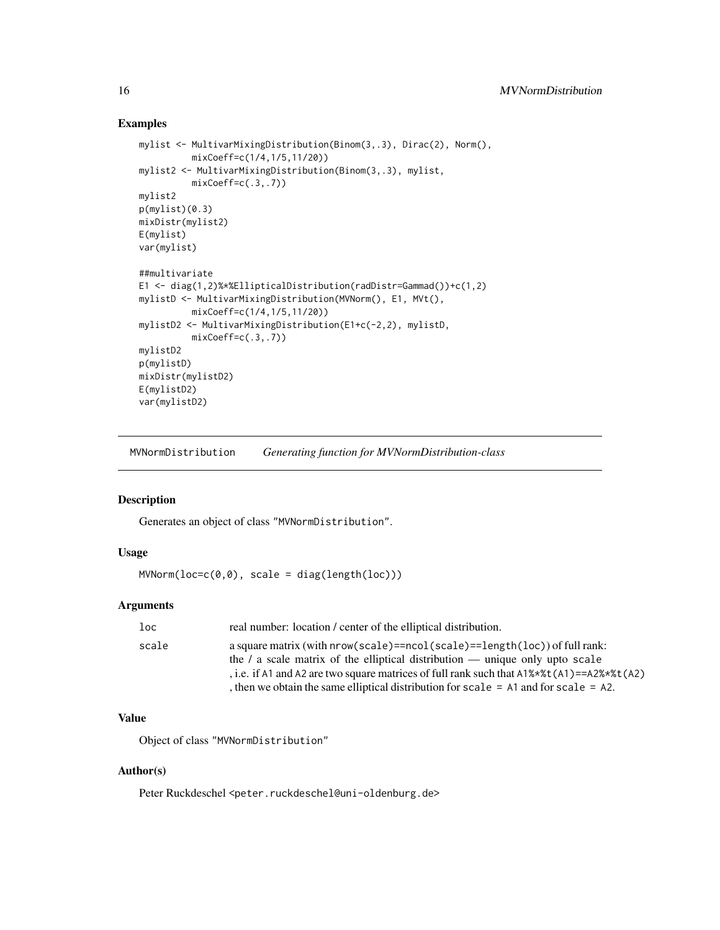#### Examples

```
mylist <- MultivarMixingDistribution(Binom(3,.3), Dirac(2), Norm(),
          mixCoeff=c(1/4,1/5,11/20))
mylist2 <- MultivarMixingDistribution(Binom(3,.3), mylist,
          mixCoeff=c(.3,.7))
mylist2
p(mylist)(0.3)
mixDistr(mylist2)
E(mylist)
var(mylist)
##multivariate
E1 <- diag(1,2)%*%EllipticalDistribution(radDistr=Gammad())+c(1,2)
mylistD <- MultivarMixingDistribution(MVNorm(), E1, MVt(),
          mixCoeff=c(1/4,1/5,11/20))
mylistD2 <- MultivarMixingDistribution(E1+c(-2,2), mylistD,
          mixCoeff=c(.3,.7))
mylistD2
p(mylistD)
mixDistr(mylistD2)
E(mylistD2)
var(mylistD2)
```
<span id="page-15-1"></span>MVNormDistribution *Generating function for MVNormDistribution-class*

# Description

Generates an object of class "MVNormDistribution".

# Usage

MVNorm(loc=c(0,0), scale = diag(length(loc)))

#### Arguments

| loc   | real number: location / center of the elliptical distribution.                                                                                                                                                                                                                                                                                                                       |
|-------|--------------------------------------------------------------------------------------------------------------------------------------------------------------------------------------------------------------------------------------------------------------------------------------------------------------------------------------------------------------------------------------|
| scale | a square matrix (with $nrow(scale) == ncol(scale) == length(loc)$ ) of full rank:<br>the $\ell$ a scale matrix of the elliptical distribution — unique only upto scale<br>, i.e. if A1 and A2 are two square matrices of full rank such that $A1\%*\t\times t(A1) = A2\%*\t\times t(A2)$<br>, then we obtain the same elliptical distribution for scale $=$ A1 and for scale $=$ A2. |
|       |                                                                                                                                                                                                                                                                                                                                                                                      |

# Value

Object of class "MVNormDistribution"

#### Author(s)

Peter Ruckdeschel <peter.ruckdeschel@uni-oldenburg.de>

<span id="page-15-0"></span>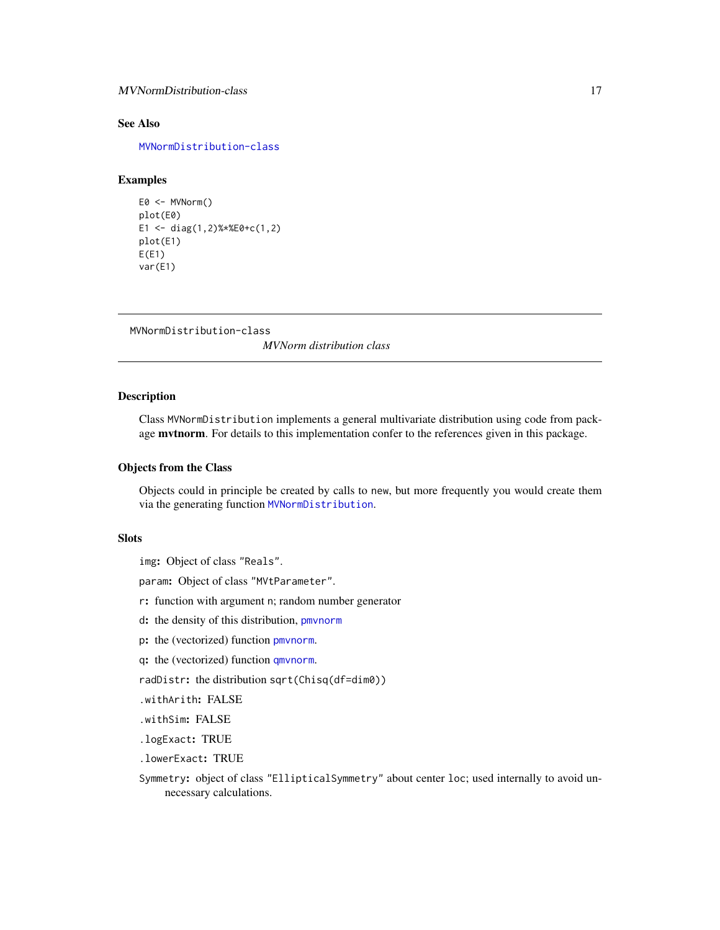# <span id="page-16-0"></span>MVNormDistribution-class 17

# See Also

[MVNormDistribution-class](#page-16-1)

# Examples

```
E0 <- MVNorm()
plot(E0)
E1 <- diag(1,2)%*%E0+c(1,2)
plot(E1)
E(E1)var(E1)
```
<span id="page-16-1"></span>MVNormDistribution-class

*MVNorm distribution class*

#### Description

Class MVNormDistribution implements a general multivariate distribution using code from package mvtnorm. For details to this implementation confer to the references given in this package.

#### Objects from the Class

Objects could in principle be created by calls to new, but more frequently you would create them via the generating function [MVNormDistribution](#page-15-1).

# Slots

img: Object of class "Reals".

param: Object of class "MVtParameter".

r: function with argument n; random number generator

d: the density of this distribution, [pmvnorm](#page-0-0)

p: the (vectorized) function [pmvnorm](#page-0-0).

q: the (vectorized) function [qmvnorm](#page-0-0).

radDistr: the distribution sqrt(Chisq(df=dim0))

.withArith: FALSE

.withSim: FALSE

.logExact: TRUE

.lowerExact: TRUE

Symmetry: object of class "EllipticalSymmetry" about center loc; used internally to avoid unnecessary calculations.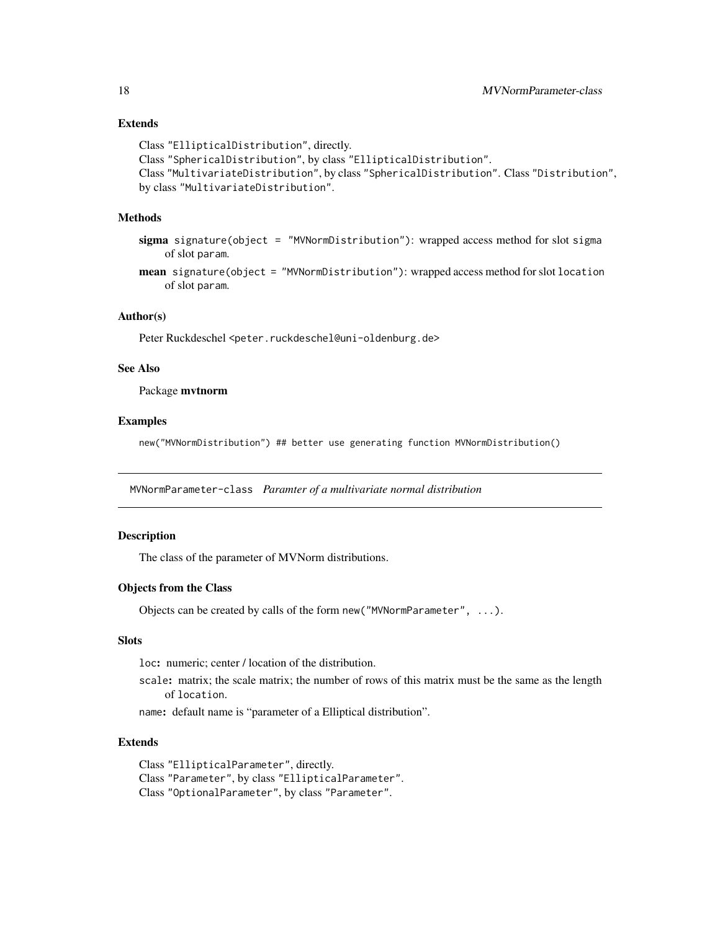# <span id="page-17-0"></span>Extends

```
Class "EllipticalDistribution", directly.
Class "SphericalDistribution", by class "EllipticalDistribution".
Class "MultivariateDistribution", by class "SphericalDistribution". Class "Distribution",
by class "MultivariateDistribution".
```
#### Methods

sigma signature(object = "MVNormDistribution"): wrapped access method for slot sigma of slot param.

mean signature(object = "MVNormDistribution"): wrapped access method for slot location of slot param.

# Author(s)

Peter Ruckdeschel <peter.ruckdeschel@uni-oldenburg.de>

#### See Also

Package mvtnorm

#### Examples

new("MVNormDistribution") ## better use generating function MVNormDistribution()

MVNormParameter-class *Paramter of a multivariate normal distribution*

### Description

The class of the parameter of MVNorm distributions.

#### Objects from the Class

Objects can be created by calls of the form new("MVNormParameter", ...).

# Slots

loc: numeric; center / location of the distribution.

scale: matrix; the scale matrix; the number of rows of this matrix must be the same as the length of location.

name: default name is "parameter of a Elliptical distribution".

# Extends

Class "EllipticalParameter", directly. Class "Parameter", by class "EllipticalParameter". Class "OptionalParameter", by class "Parameter".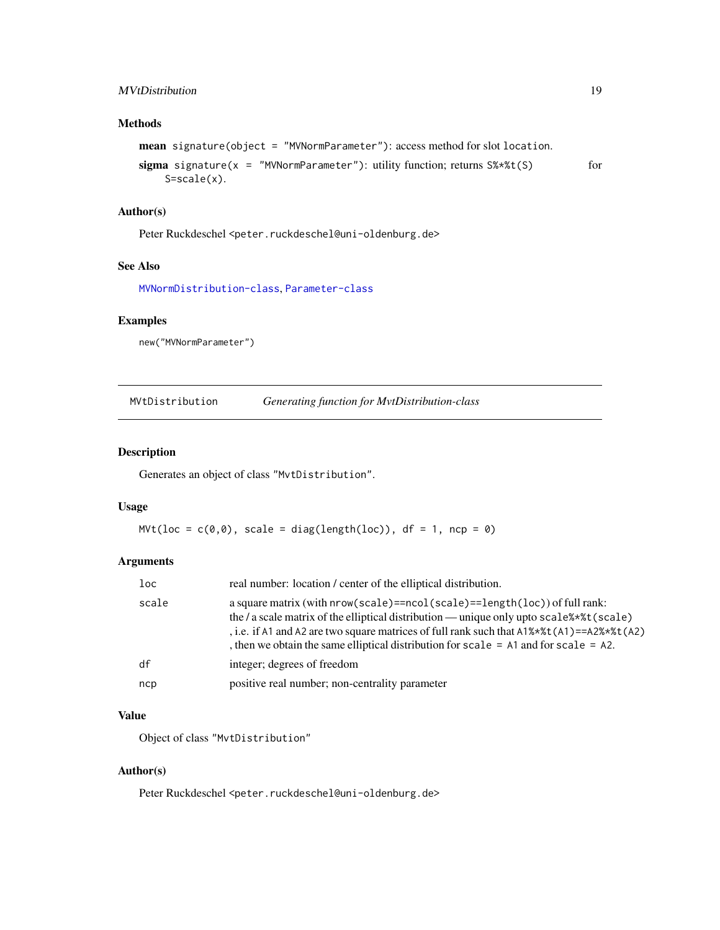# <span id="page-18-0"></span>MVtDistribution 19

# Methods

```
mean signature(object = "MVNormParameter"): access method for slot location.
sigma signature(x = "MVNormParameter"): utility function; returns S\\star\t(S) for
    S=scale(x).
```
#### Author(s)

Peter Ruckdeschel <peter.ruckdeschel@uni-oldenburg.de>

# See Also

[MVNormDistribution-class](#page-16-1), [Parameter-class](#page-0-0)

#### Examples

new("MVNormParameter")

<span id="page-18-1"></span>MVtDistribution *Generating function for MvtDistribution-class*

# Description

Generates an object of class "MvtDistribution".

# Usage

 $Mvt(loc = c(0,0), scale = diag(length(loc)), df = 1, ncp = 0)$ 

# Arguments

| $1$ oc | real number: location / center of the elliptical distribution.                                                                                                                                                                                                                                                                                                                                     |
|--------|----------------------------------------------------------------------------------------------------------------------------------------------------------------------------------------------------------------------------------------------------------------------------------------------------------------------------------------------------------------------------------------------------|
| scale  | a square matrix (with $nrow(scale) == neold(scale) == length(loc)$ ) of full rank:<br>the / a scale matrix of the elliptical distribution — unique only upto $scale$ **t( $scale)$ )<br>, i.e. if A1 and A2 are two square matrices of full rank such that $A1\%*\t\times t(A1) = A2\%*\t\times t(A2)$<br>, then we obtain the same elliptical distribution for scale $=$ A1 and for scale $=$ A2. |
| df     | integer; degrees of freedom                                                                                                                                                                                                                                                                                                                                                                        |
| ncp    | positive real number; non-centrality parameter                                                                                                                                                                                                                                                                                                                                                     |

# Value

Object of class "MvtDistribution"

# Author(s)

Peter Ruckdeschel <peter.ruckdeschel@uni-oldenburg.de>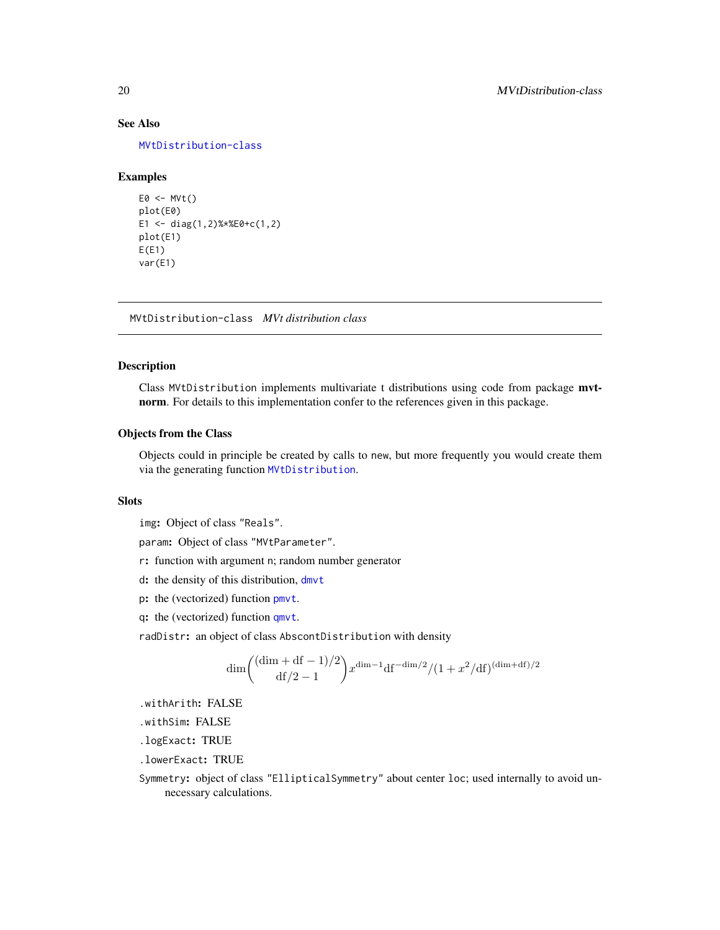# See Also

[MVtDistribution-class](#page-19-1)

#### Examples

```
E0 \le -M Vt()plot(E0)
E1 <- diag(1,2)%*%E0+c(1,2)
plot(E1)
E(E1)var(E1)
```
<span id="page-19-1"></span>MVtDistribution-class *MVt distribution class*

#### Description

Class MVtDistribution implements multivariate t distributions using code from package mvtnorm. For details to this implementation confer to the references given in this package.

# Objects from the Class

Objects could in principle be created by calls to new, but more frequently you would create them via the generating function [MVtDistribution](#page-18-1).

#### Slots

img: Object of class "Reals".

param: Object of class "MVtParameter".

- r: function with argument n; random number generator
- d: the density of this distribution, [dmvt](#page-0-0)
- p: the (vectorized) function [pmvt](#page-0-0).
- q: the (vectorized) function [qmvt](#page-0-0).

radDistr: an object of class AbscontDistribution with density

$$
\dim \left( \frac{(\dim + df - 1)/2}{df/2 - 1} x^{\dim -1} df^{-\dim/2} / (1 + x^2/df)^{(\dim + df)/2} \right.
$$

.withArith: FALSE

.withSim: FALSE

.logExact: TRUE

.lowerExact: TRUE

Symmetry: object of class "EllipticalSymmetry" about center loc; used internally to avoid unnecessary calculations.

<span id="page-19-0"></span>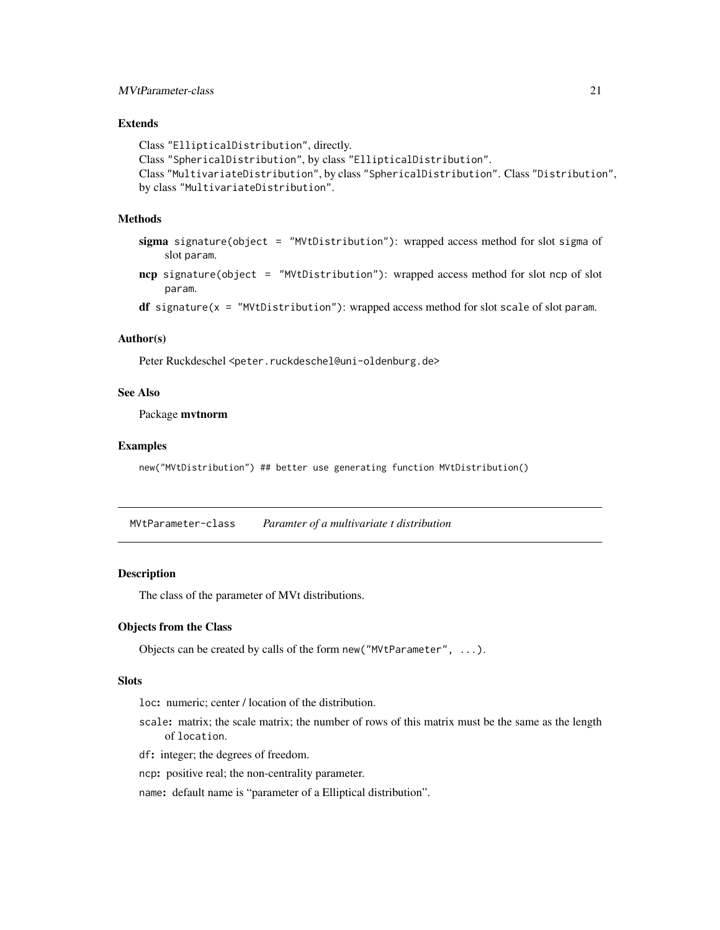# <span id="page-20-0"></span>MVtParameter-class 21

# Extends

```
Class "EllipticalDistribution", directly.
Class "SphericalDistribution", by class "EllipticalDistribution".
Class "MultivariateDistribution", by class "SphericalDistribution". Class "Distribution",
by class "MultivariateDistribution".
```
# Methods

- sigma signature(object = "MVtDistribution"): wrapped access method for slot sigma of slot param.
- ncp signature(object = "MVtDistribution"): wrapped access method for slot ncp of slot param.
- $df$  signature( $x =$  "MVtDistribution"): wrapped access method for slot scale of slot param.

#### Author(s)

Peter Ruckdeschel <peter.ruckdeschel@uni-oldenburg.de>

# See Also

Package mvtnorm

#### Examples

new("MVtDistribution") ## better use generating function MVtDistribution()

MVtParameter-class *Paramter of a multivariate t distribution*

# Description

The class of the parameter of MVt distributions.

# Objects from the Class

Objects can be created by calls of the form new("MVtParameter", ...).

#### **Slots**

loc: numeric; center / location of the distribution.

scale: matrix; the scale matrix; the number of rows of this matrix must be the same as the length of location.

df: integer; the degrees of freedom.

ncp: positive real; the non-centrality parameter.

name: default name is "parameter of a Elliptical distribution".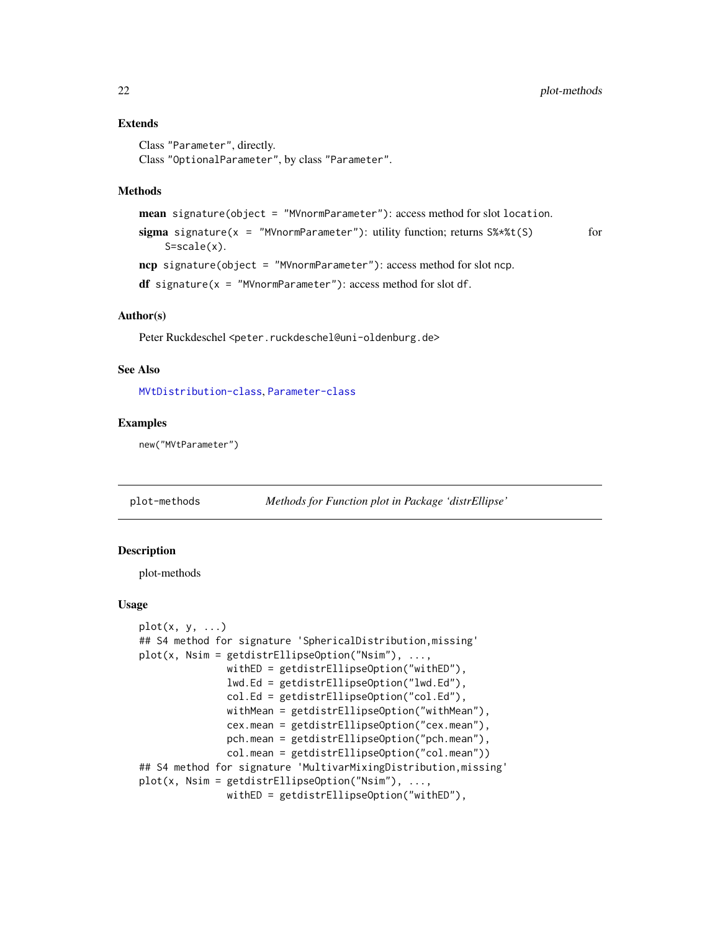#### Extends

```
Class "Parameter", directly.
Class "OptionalParameter", by class "Parameter".
```
#### Methods

```
mean signature(object = "MVnormParameter"): access method for slot location.
sigma signature(x = "MVnormParameter"): utility function; returns S\ast\ast(5) for
    S=scale(x).
ncp signature(object = "MVnormParameter"): access method for slot ncp.
df signature(x = "MVnormParameter"): access method for slot df.
```
#### Author(s)

Peter Ruckdeschel <peter.ruckdeschel@uni-oldenburg.de>

#### See Also

[MVtDistribution-class](#page-19-1), [Parameter-class](#page-0-0)

#### Examples

new("MVtParameter")

<span id="page-21-1"></span>plot-methods *Methods for Function plot in Package 'distrEllipse'*

#### <span id="page-21-2"></span>Description

plot-methods

#### Usage

```
plot(x, y, ...)## S4 method for signature 'SphericalDistribution,missing'
plot(x, Nsim = getdistrEllipseOption("Nsim"), ...,withED = getdistrEllipseOption("withED"),
               lwd.Ed = getdistrEllipseOption("lwd.Ed"),
               col.Ed = getdistrEllipseOption("col.Ed"),
               withMean = getdistrEllipseOption("withMean"),
               cex.mean = getdistrEllipseOption("cex.mean"),
               pch.mean = getdistrEllipseOption("pch.mean"),
               col.mean = getdistrEllipseOption("col.mean"))
## S4 method for signature 'MultivarMixingDistribution,missing'
plot(x, Nsim = getdistrEllipseOption("Nsim"), ...,
               withED = getdistrEllipseOption("withED"),
```
<span id="page-21-0"></span>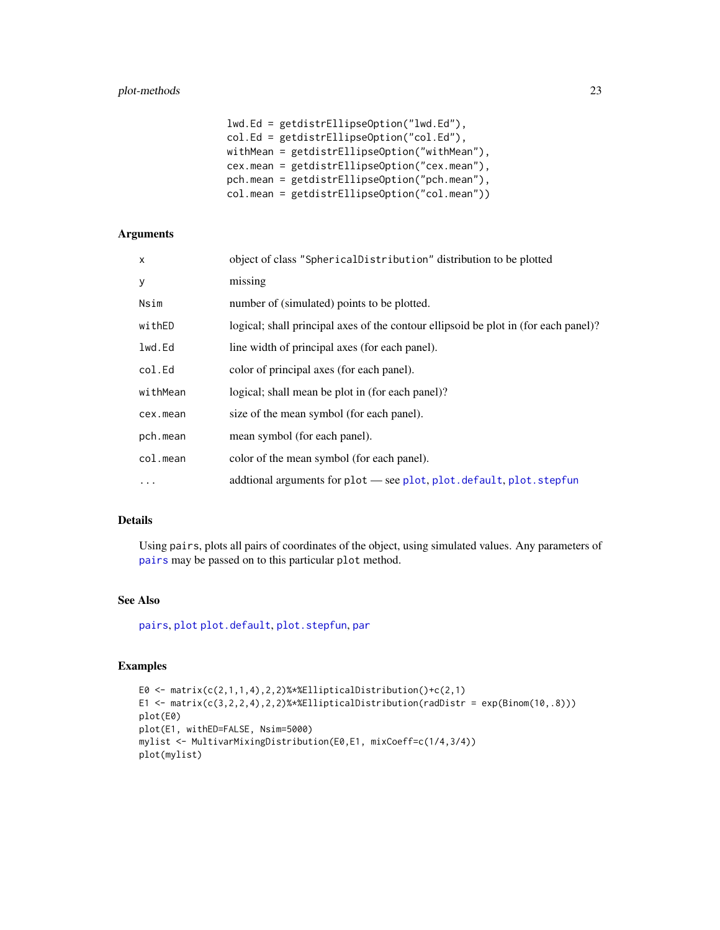# <span id="page-22-0"></span>plot-methods 23

```
lwd.Ed = getdistrEllipseOption("lwd.Ed"),
col.Ed = getdistrEllipseOption("col.Ed"),
withMean = getdistrEllipseOption("withMean"),
cex.mean = getdistrEllipseOption("cex.mean"),
pch.mean = getdistrEllipseOption("pch.mean"),
col.mean = getdistrEllipseOption("col.mean"))
```
# Arguments

| X        | object of class "SphericalDistribution" distribution to be plotted                  |
|----------|-------------------------------------------------------------------------------------|
| у        | missing                                                                             |
| Nsim     | number of (simulated) points to be plotted.                                         |
| withED   | logical; shall principal axes of the contour ellipsoid be plot in (for each panel)? |
| lwd.Ed   | line width of principal axes (for each panel).                                      |
| col.Ed   | color of principal axes (for each panel).                                           |
| withMean | logical; shall mean be plot in (for each panel)?                                    |
| cex.mean | size of the mean symbol (for each panel).                                           |
| pch.mean | mean symbol (for each panel).                                                       |
| col.mean | color of the mean symbol (for each panel).                                          |
| .        | additional arguments for plot — see plot, plot. default, plot. stepfun              |
|          |                                                                                     |

#### Details

Using pairs, plots all pairs of coordinates of the object, using simulated values. Any parameters of [pairs](#page-0-0) may be passed on to this particular plot method.

# See Also

[pairs](#page-0-0), [plot](#page-21-2) [plot.default](#page-0-0), [plot.stepfun](#page-0-0), [par](#page-0-0)

# Examples

```
E0 \leq matrix(c(2,1,1,4),2,2)%*%EllipticalDistribution()+c(2,1)
E1 <- matrix(c(3,2,2,4),2,2)%*%EllipticalDistribution(radDistr = exp(Binom(10,.8)))plot(E0)
plot(E1, withED=FALSE, Nsim=5000)
mylist <- MultivarMixingDistribution(E0,E1, mixCoeff=c(1/4,3/4))
plot(mylist)
```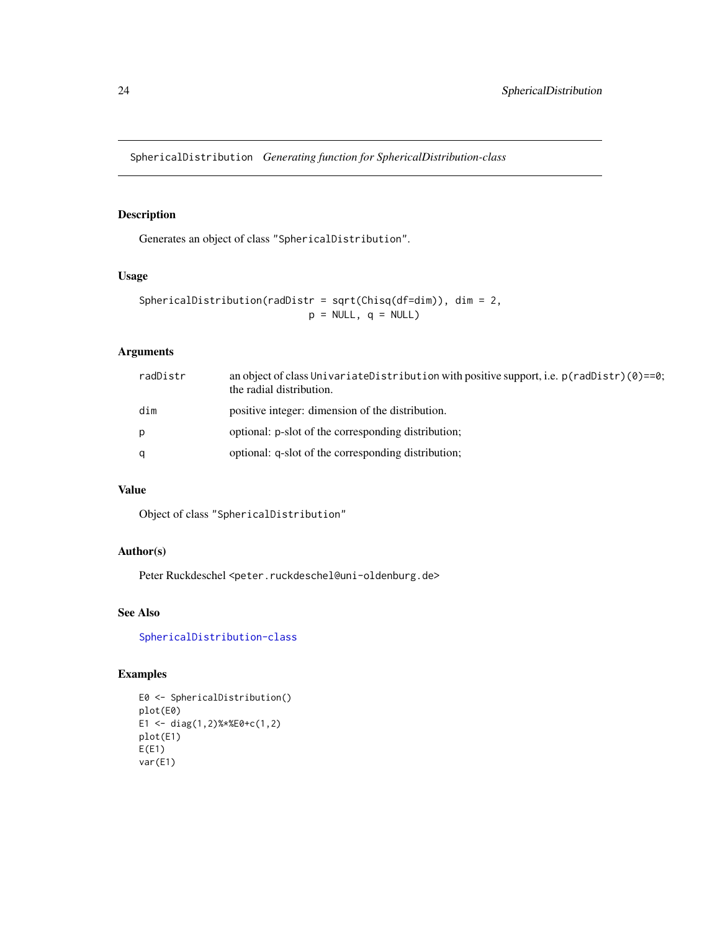<span id="page-23-1"></span><span id="page-23-0"></span>SphericalDistribution *Generating function for SphericalDistribution-class*

# Description

Generates an object of class "SphericalDistribution".

#### Usage

```
SphericalDistribution(radDistr = sqrt(Chisq(df=dim)), dim = 2,
                            p = NULL, q = NULL)
```
# Arguments

| radDistr | an object of class UnivariateDistribution with positive support, i.e. $p(\text{radDist})$ (0)==0;<br>the radial distribution. |
|----------|-------------------------------------------------------------------------------------------------------------------------------|
| dim      | positive integer: dimension of the distribution.                                                                              |
| p        | optional: p-slot of the corresponding distribution;                                                                           |
| q        | optional: q-slot of the corresponding distribution;                                                                           |

# Value

Object of class "SphericalDistribution"

# Author(s)

Peter Ruckdeschel <peter.ruckdeschel@uni-oldenburg.de>

# See Also

[SphericalDistribution-class](#page-24-1)

# Examples

```
E0 <- SphericalDistribution()
plot(E0)
E1 <- diag(1,2)%*%E0+c(1,2)
plot(E1)
E(E1)
var(E1)
```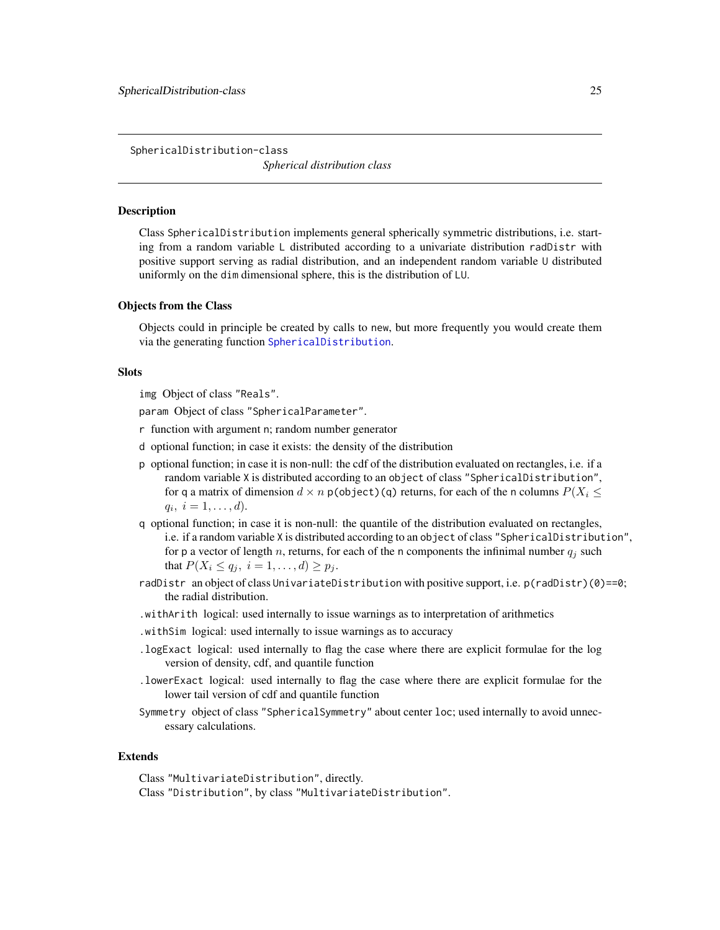<span id="page-24-1"></span><span id="page-24-0"></span>SphericalDistribution-class *Spherical distribution class*

#### **Description**

Class SphericalDistribution implements general spherically symmetric distributions, i.e. starting from a random variable L distributed according to a univariate distribution radDistr with positive support serving as radial distribution, and an independent random variable U distributed uniformly on the dim dimensional sphere, this is the distribution of LU.

#### Objects from the Class

Objects could in principle be created by calls to new, but more frequently you would create them via the generating function [SphericalDistribution](#page-23-1).

#### **Slots**

img Object of class "Reals".

param Object of class "SphericalParameter".

- r function with argument n; random number generator
- d optional function; in case it exists: the density of the distribution
- p optional function; in case it is non-null: the cdf of the distribution evaluated on rectangles, i.e. if a random variable X is distributed according to an object of class "SphericalDistribution", for q a matrix of dimension  $d \times n$  p(object)(q) returns, for each of the n columns  $P(X_i \leq$  $q_i, i = 1, \ldots, d$ .
- q optional function; in case it is non-null: the quantile of the distribution evaluated on rectangles, i.e. if a random variable X is distributed according to an object of class "SphericalDistribution", for p a vector of length n, returns, for each of the n components the infinimal number  $q_i$  such that  $P(X_i \le q_j, i = 1, ..., d) \ge p_j$ .
- radDistr an object of class UnivariateDistribution with positive support, i.e. p(radDistr)(0)==0; the radial distribution.
- .withArith logical: used internally to issue warnings as to interpretation of arithmetics
- .withSim logical: used internally to issue warnings as to accuracy
- .logExact logical: used internally to flag the case where there are explicit formulae for the log version of density, cdf, and quantile function
- .lowerExact logical: used internally to flag the case where there are explicit formulae for the lower tail version of cdf and quantile function
- Symmetry object of class "SphericalSymmetry" about center loc; used internally to avoid unnecessary calculations.

#### Extends

Class "MultivariateDistribution", directly. Class "Distribution", by class "MultivariateDistribution".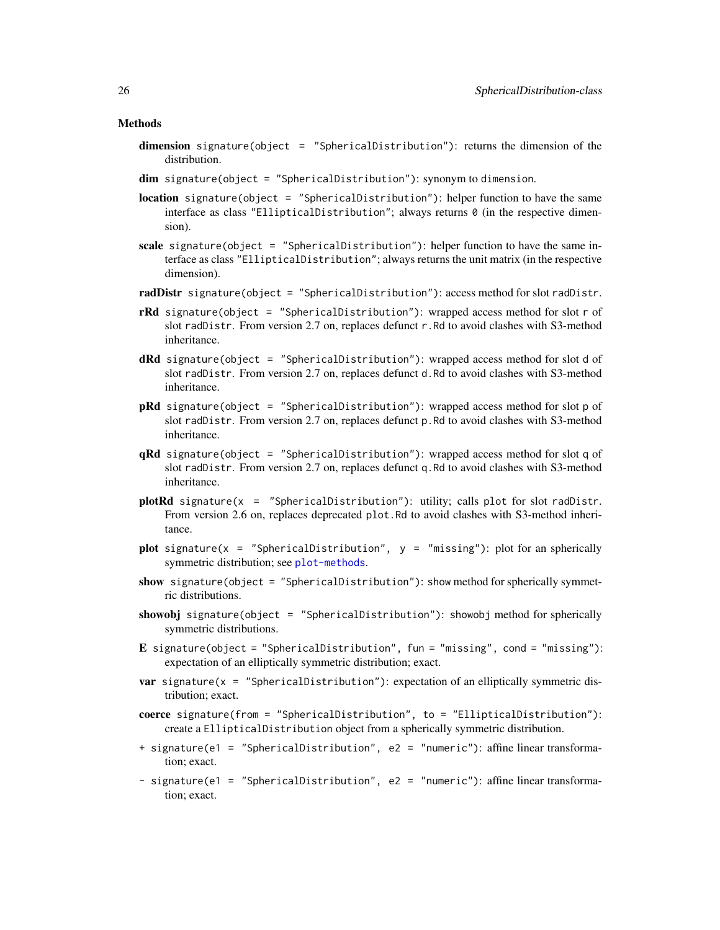#### Methods

- dimension signature(object = "SphericalDistribution"): returns the dimension of the distribution.
- dim signature(object = "SphericalDistribution"): synonym to dimension.
- **location** signature(object = "SphericalDistribution"): helper function to have the same interface as class "EllipticalDistribution"; always returns 0 (in the respective dimension).
- scale signature(object = "SphericalDistribution"): helper function to have the same interface as class "EllipticalDistribution"; always returns the unit matrix (in the respective dimension).
- radDistr signature(object = "SphericalDistribution"): access method for slot radDistr.
- **rRd** signature(object = "SphericalDistribution"): wrapped access method for slot r of slot radDistr. From version 2.7 on, replaces defunct r.Rd to avoid clashes with S3-method inheritance.
- **dRd** signature(object = "SphericalDistribution"): wrapped access method for slot d of slot radDistr. From version 2.7 on, replaces defunct d.Rd to avoid clashes with S3-method inheritance.
- pRd signature(object = "SphericalDistribution"): wrapped access method for slot p of slot radDistr. From version 2.7 on, replaces defunct p.Rd to avoid clashes with S3-method inheritance.
- qRd signature(object = "SphericalDistribution"): wrapped access method for slot q of slot radDistr. From version 2.7 on, replaces defunct q.Rd to avoid clashes with S3-method inheritance.
- $plotRd$  signature(x = "SphericalDistribution"): utility; calls plot for slot radDistr. From version 2.6 on, replaces deprecated plot.Rd to avoid clashes with S3-method inheritance.
- plot signature(x = "SphericalDistribution",  $y =$  "missing"): plot for an spherically symmetric distribution; see [plot-methods](#page-21-1).
- show signature(object = "SphericalDistribution"): show method for spherically symmetric distributions.
- showobj signature(object = "SphericalDistribution"): showobj method for spherically symmetric distributions.
- E signature(object = "SphericalDistribution", fun = "missing", cond = "missing"): expectation of an elliptically symmetric distribution; exact.
- **var** signature( $x =$  "SphericalDistribution"): expectation of an elliptically symmetric distribution; exact.
- coerce signature(from = "SphericalDistribution", to = "EllipticalDistribution"): create a EllipticalDistribution object from a spherically symmetric distribution.
- + signature(e1 = "SphericalDistribution", e2 = "numeric"): affine linear transformation; exact.
- signature(e1 = "SphericalDistribution", e2 = "numeric"): affine linear transformation; exact.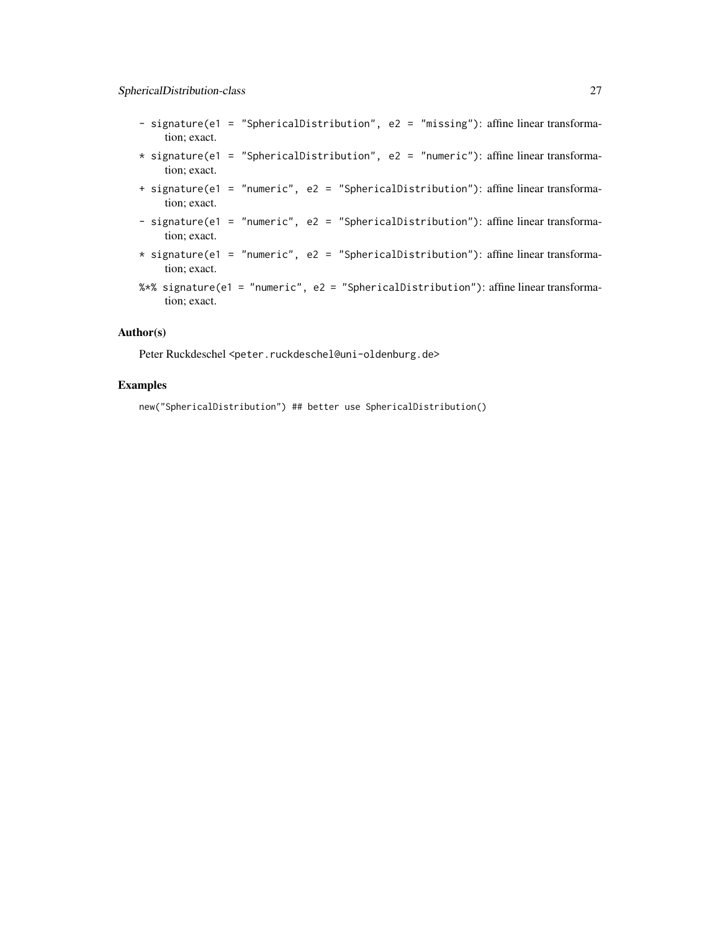- signature(e1 = "SphericalDistribution", e2 = "missing"): affine linear transformation; exact.
- \* signature(e1 = "SphericalDistribution", e2 = "numeric"): affine linear transformation; exact.
- + signature(e1 = "numeric", e2 = "SphericalDistribution"): affine linear transformation; exact.
- signature(e1 = "numeric", e2 = "SphericalDistribution"): affine linear transformation; exact.
- $*$  signature(e1 = "numeric", e2 = "SphericalDistribution"): affine linear transformation; exact.
- %\*% signature(e1 = "numeric", e2 = "SphericalDistribution"): affine linear transformation; exact.

# Author(s)

Peter Ruckdeschel <peter.ruckdeschel@uni-oldenburg.de>

# Examples

new("SphericalDistribution") ## better use SphericalDistribution()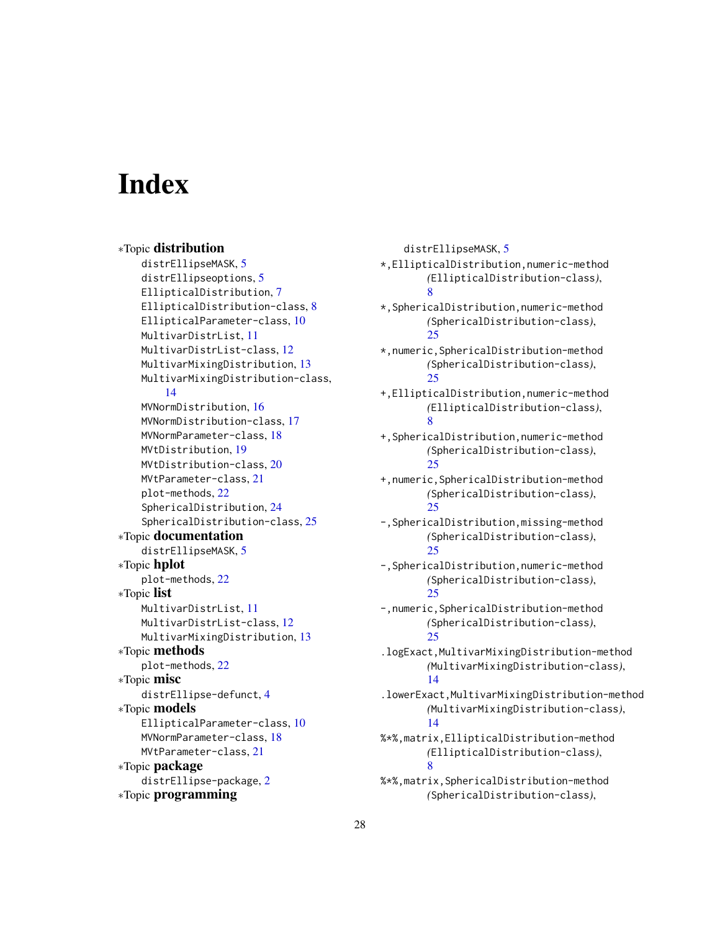# <span id="page-27-0"></span>**Index**

∗Topic distribution distrEllipseMASK, [5](#page-4-0) distrEllipseoptions, [5](#page-4-0) EllipticalDistribution, [7](#page-6-0) EllipticalDistribution-class, [8](#page-7-0) EllipticalParameter-class, [10](#page-9-0) MultivarDistrList, [11](#page-10-0) MultivarDistrList-class, [12](#page-11-0) MultivarMixingDistribution, [13](#page-12-0) MultivarMixingDistribution-class, [14](#page-13-0) MVNormDistribution, [16](#page-15-0) MVNormDistribution-class, [17](#page-16-0) MVNormParameter-class, [18](#page-17-0) MVtDistribution, [19](#page-18-0) MVtDistribution-class, [20](#page-19-0) MVtParameter-class, [21](#page-20-0) plot-methods, [22](#page-21-0) SphericalDistribution, [24](#page-23-0) SphericalDistribution-class, [25](#page-24-0) ∗Topic documentation distrEllipseMASK, [5](#page-4-0) ∗Topic hplot plot-methods, [22](#page-21-0) ∗Topic list MultivarDistrList, [11](#page-10-0) MultivarDistrList-class, [12](#page-11-0) MultivarMixingDistribution, [13](#page-12-0) ∗Topic methods plot-methods, [22](#page-21-0) ∗Topic misc distrEllipse-defunct, [4](#page-3-0) ∗Topic models EllipticalParameter-class, [10](#page-9-0) MVNormParameter-class, [18](#page-17-0) MVtParameter-class, [21](#page-20-0) ∗Topic package distrEllipse-package, [2](#page-1-0) ∗Topic programming

distrEllipseMASK, [5](#page-4-0) \*,EllipticalDistribution,numeric-method *(*EllipticalDistribution-class*)*, [8](#page-7-0) \*,SphericalDistribution,numeric-method *(*SphericalDistribution-class*)*,  $25$ \*,numeric,SphericalDistribution-method *(*SphericalDistribution-class*)*, [25](#page-24-0) +,EllipticalDistribution,numeric-method *(*EllipticalDistribution-class*)*, [8](#page-7-0) +,SphericalDistribution,numeric-method *(*SphericalDistribution-class*)*, [25](#page-24-0) +,numeric,SphericalDistribution-method *(*SphericalDistribution-class*)*, [25](#page-24-0) -,SphericalDistribution,missing-method *(*SphericalDistribution-class*)*, [25](#page-24-0) -,SphericalDistribution,numeric-method *(*SphericalDistribution-class*)*,  $25$ -,numeric,SphericalDistribution-method *(*SphericalDistribution-class*)*, [25](#page-24-0) .logExact,MultivarMixingDistribution-method *(*MultivarMixingDistribution-class*)*, [14](#page-13-0) .lowerExact,MultivarMixingDistribution-method *(*MultivarMixingDistribution-class*)*, [14](#page-13-0) %\*%,matrix,EllipticalDistribution-method *(*EllipticalDistribution-class*)*, [8](#page-7-0) %\*%,matrix,SphericalDistribution-method *(*SphericalDistribution-class*)*,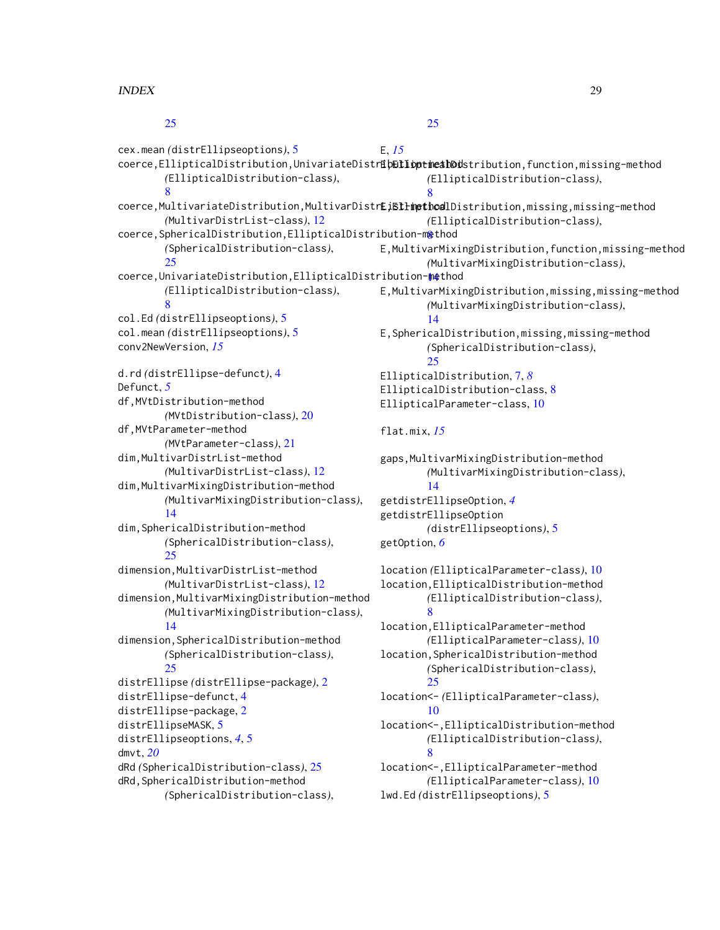[25](#page-24-0)

cex.mean *(*distrEllipseoptions*)*, [5](#page-4-0) coerce,EllipticalDistribution,UnivariateDistr**ibElliopticalDo**dstribution,function,missing-method *(*EllipticalDistribution-class*)*, [8](#page-7-0) coerce,MultivariateDistribution,MultivarDistr**E;Etlimethoa**lDistribution,missing,missing-method *(*MultivarDistrList-class*)*, [12](#page-11-0) coerce, SphericalDistribution, EllipticalDistribution-m&thod *(*SphericalDistribution-class*)*,  $25$ coerce,UnivariateDistribution,EllipticalDistribution[-me](#page-13-0)thod 14 *(*EllipticalDistribution-class*)*, [8](#page-7-0) col.Ed *(*distrEllipseoptions*)*, [5](#page-4-0) col.mean *(*distrEllipseoptions*)*, [5](#page-4-0) conv2NewVersion, *[15](#page-14-0)* d.rd *(*distrEllipse-defunct*)*, [4](#page-3-0) Defunct, *[5](#page-4-0)* df,MVtDistribution-method *(*MVtDistribution-class*)*, [20](#page-19-0) df,MVtParameter-method *(*MVtParameter-class*)*, [21](#page-20-0) dim,MultivarDistrList-method *(*MultivarDistrList-class*)*, [12](#page-11-0) dim,MultivarMixingDistribution-method *(*MultivarMixingDistribution-class*)*, [14](#page-13-0) dim,SphericalDistribution-method *(*SphericalDistribution-class*)*, [25](#page-24-0) dimension,MultivarDistrList-method *(*MultivarDistrList-class*)*, [12](#page-11-0) dimension,MultivarMixingDistribution-method *(*MultivarMixingDistribution-class*)*, [14](#page-13-0) dimension,SphericalDistribution-method *(*SphericalDistribution-class*)*,  $25$ distrEllipse *(*distrEllipse-package*)*, [2](#page-1-0) distrEllipse-defunct, [4](#page-3-0) distrEllipse-package, [2](#page-1-0) distrEllipseMASK, [5](#page-4-0) distrEllipseoptions, *[4](#page-3-0)*, [5](#page-4-0) E, *[15](#page-14-0) (*EllipticalDistribution-class*)*, [8](#page-7-0) *(*EllipticalDistribution-class*)*, E,MultivarMixingDistribution,function,missing-method *(*MultivarMixingDistribution-class*)*, E,MultivarMixingDistribution,missing,missing-method *(*MultivarMixingDistribution-class*)*, [14](#page-13-0) E,SphericalDistribution,missing,missing-method *(*SphericalDistribution-class*)*,  $25$ EllipticalDistribution, [7,](#page-6-0) *[8](#page-7-0)* EllipticalDistribution-class, [8](#page-7-0) EllipticalParameter-class, [10](#page-9-0) flat.mix, *[15](#page-14-0)* gaps,MultivarMixingDistribution-method *(*MultivarMixingDistribution-class*)*, [14](#page-13-0) getdistrEllipseOption, *[4](#page-3-0)* getdistrEllipseOption *(*distrEllipseoptions*)*, [5](#page-4-0) getOption, *[6](#page-5-0)* location *(*EllipticalParameter-class*)*, [10](#page-9-0) location,EllipticalDistribution-method *(*EllipticalDistribution-class*)*, [8](#page-7-0) location,EllipticalParameter-method *(*EllipticalParameter-class*)*, [10](#page-9-0) location,SphericalDistribution-method *(*SphericalDistribution-class*)*,  $25$ location<- *(*EllipticalParameter-class*)*, [10](#page-9-0) location<-,EllipticalDistribution-method *(*EllipticalDistribution-class*)*,

[25](#page-24-0)

dmvt, *[20](#page-19-0)* dRd *(*SphericalDistribution-class*)*, [25](#page-24-0) dRd,SphericalDistribution-method *(*SphericalDistribution-class*)*,

[8](#page-7-0) location<-,EllipticalParameter-method *(*EllipticalParameter-class*)*, [10](#page-9-0) lwd.Ed *(*distrEllipseoptions*)*, [5](#page-4-0)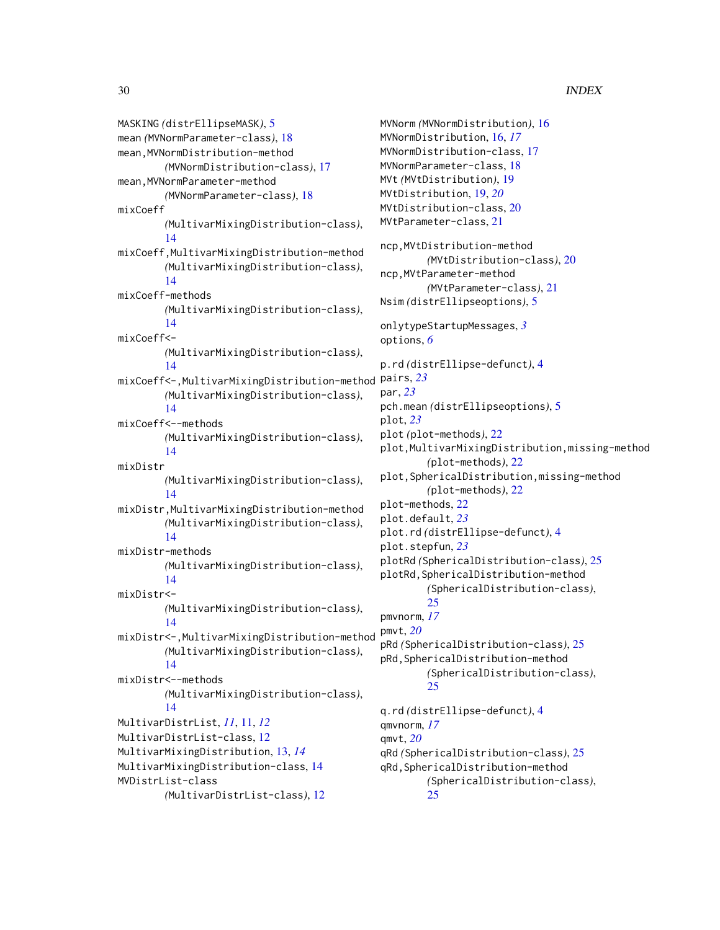MASKING *(*distrEllipseMASK*)*, [5](#page-4-0) mean *(*MVNormParameter-class*)*, [18](#page-17-0) mean,MVNormDistribution-method *(*MVNormDistribution-class*)*, [17](#page-16-0) mean, MVNormParameter-method *(*MVNormParameter-class*)*, [18](#page-17-0) mixCoeff *(*MultivarMixingDistribution-class*)*, [14](#page-13-0) mixCoeff,MultivarMixingDistribution-method *(*MultivarMixingDistribution-class*)*, [14](#page-13-0) mixCoeff-methods *(*MultivarMixingDistribution-class*)*, [14](#page-13-0) mixCoeff<- *(*MultivarMixingDistribution-class*)*, [14](#page-13-0) mixCoeff<-,MultivarMixingDistribution-method pairs, *[23](#page-22-0) (*MultivarMixingDistribution-class*)*, [14](#page-13-0) mixCoeff<--methods *(*MultivarMixingDistribution-class*)*, [14](#page-13-0) mixDistr *(*MultivarMixingDistribution-class*)*, [14](#page-13-0) mixDistr,MultivarMixingDistribution-method *(*MultivarMixingDistribution-class*)*, [14](#page-13-0) mixDistr-methods *(*MultivarMixingDistribution-class*)*, [14](#page-13-0) mixDistr<- *(*MultivarMixingDistribution-class*)*, [14](#page-13-0) mixDistr<-,MultivarMixingDistribution-method *(*MultivarMixingDistribution-class*)*, [14](#page-13-0) mixDistr<--methods *(*MultivarMixingDistribution-class*)*, [14](#page-13-0) MultivarDistrList, *[11](#page-10-0)*, [11,](#page-10-0) *[12](#page-11-0)* MultivarDistrList-class, [12](#page-11-0) MultivarMixingDistribution, [13,](#page-12-0) *[14](#page-13-0)* MultivarMixingDistribution-class, [14](#page-13-0) MVDistrList-class *(*MultivarDistrList-class*)*, [12](#page-11-0)

```
MVNorm (MVNormDistribution), 16
MVNormDistribution, 16, 17
MVNormDistribution-class, 17
MVNormParameter-class, 18
MVt (MVtDistribution), 19
MVtDistribution, 19, 20
MVtDistribution-class, 20
MVtParameter-class, 21
ncp,MVtDistribution-method
        (MVtDistribution-class), 20
ncp,MVtParameter-method
        (MVtParameter-class), 21
Nsim (distrEllipseoptions), 5
onlytypeStartupMessages, 3
options, 6
p.rd (distrEllipse-defunct), 4
par, 23
pch.mean (distrEllipseoptions), 5
plot, 23
plot (plot-methods), 22
plot,MultivarMixingDistribution,missing-method
        (plot-methods), 22
plot,SphericalDistribution,missing-method
        (plot-methods), 22
plot-methods, 22
plot.default, 23
plot.rd (distrEllipse-defunct), 4
plot.stepfun, 23
plotRd (SphericalDistribution-class), 25
plotRd,SphericalDistribution-method
        (SphericalDistribution-class),
        25
pmvnorm, 17
pmvt, 20
pRd (SphericalDistribution-class), 25
pRd,SphericalDistribution-method
        (SphericalDistribution-class),
        25
q.rd (distrEllipse-defunct), 4
qmvnorm, 17
qmvt, 20
qRd (SphericalDistribution-class), 25
qRd,SphericalDistribution-method
        (SphericalDistribution-class),
        25
```